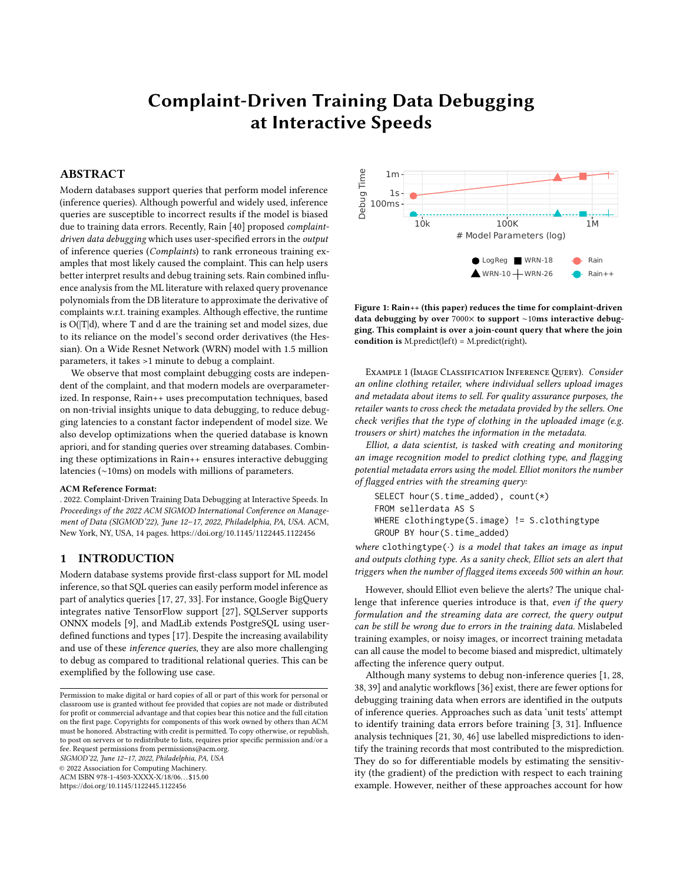# Complaint-Driven Training Data Debugging at Interactive Speeds

# ABSTRACT

Modern databases support queries that perform model inference (inference queries). Although powerful and widely used, inference queries are susceptible to incorrect results if the model is biased due to training data errors. Recently, Rain [\[40\]](#page-12-0) proposed complaintdriven data debugging which uses user-specified errors in the output of inference queries (Complaints) to rank erroneous training examples that most likely caused the complaint. This can help users better interpret results and debug training sets. Rain combined influence analysis from the ML literature with relaxed query provenance polynomials from the DB literature to approximate the derivative of complaints w.r.t. training examples. Although effective, the runtime is O(|T|d), where T and d are the training set and model sizes, due to its reliance on the model's second order derivatives (the Hessian). On a Wide Resnet Network (WRN) model with 1.5 million parameters, it takes >1 minute to debug a complaint.

We observe that most complaint debugging costs are independent of the complaint, and that modern models are overparameterized. In response, Rain++ uses precomputation techniques, based on non-trivial insights unique to data debugging, to reduce debugging latencies to a constant factor independent of model size. We also develop optimizations when the queried database is known apriori, and for standing queries over streaming databases. Combining these optimizations in Rain++ ensures interactive debugging latencies (∼10ms) on models with millions of parameters.

#### ACM Reference Format:

. 2022. Complaint-Driven Training Data Debugging at Interactive Speeds. In Proceedings of the 2022 ACM SIGMOD International Conference on Management of Data (SIGMOD'22), June 12–17, 2022, Philadelphia, PA, USA. ACM, New York, NY, USA, [14](#page-13-0) pages.<https://doi.org/10.1145/1122445.1122456>

# <span id="page-0-2"></span>1 INTRODUCTION

Modern database systems provide first-class support for ML model inference, so that SQL queries can easily perform model inference as part of analytics queries [\[17,](#page-12-1) [27,](#page-12-2) [33\]](#page-12-3). For instance, Google BigQuery integrates native TensorFlow support [\[27\]](#page-12-2), SQLServer supports ONNX models [\[9\]](#page-12-4), and MadLib extends PostgreSQL using userdefined functions and types [\[17\]](#page-12-1). Despite the increasing availability and use of these inference queries, they are also more challenging to debug as compared to traditional relational queries. This can be exemplified by the following use case.

SIGMOD'22, June 12–17, 2022, Philadelphia, PA, USA

© 2022 Association for Computing Machinery.

ACM ISBN 978-1-4503-XXXX-X/18/06. . . \$15.00

<https://doi.org/10.1145/1122445.1122456>

<span id="page-0-0"></span>

Figure 1: Rain++ (this paper) reduces the time for complaint-driven data debugging by over 7000× to support ∼10ms interactive debugging. This complaint is over a join-count query that where the join condition is M.predict(left) = M.predict(right).

Example 1 (Image Classification InferenceQuery). Consider an online clothing retailer, where individual sellers upload images and metadata about items to sell. For quality assurance purposes, the retailer wants to cross check the metadata provided by the sellers. One check verifies that the type of clothing in the uploaded image (e.g. trousers or shirt) matches the information in the metadata.

Elliot, a data scientist, is tasked with creating and monitoring an image recognition model to predict clothing type, and flagging potential metadata errors using the model. Elliot monitors the number of flagged entries with the streaming query:

```
SELECT hour(S.time_added), count(*)
FROM sellerdata AS S
WHERE clothingtype(S.image) != S.clothingtype
GROUP BY hour(S.time_added)
```
where clothingtype $(\cdot)$  is a model that takes an image as input and outputs clothing type. As a sanity check, Elliot sets an alert that triggers when the number of flagged items exceeds 500 within an hour.

However, should Elliot even believe the alerts? The unique challenge that inference queries introduce is that, even if the query formulation and the streaming data are correct, the query output can be still be wrong due to errors in the training data. Mislabeled training examples, or noisy images, or incorrect training metadata can all cause the model to become biased and mispredict, ultimately affecting the inference query output.

Although many systems to debug non-inference queries [\[1,](#page-11-0) [28,](#page-12-5) [38,](#page-12-6) [39\]](#page-12-7) and analytic workflows [\[36\]](#page-12-8) exist, there are fewer options for debugging training data when errors are identified in the outputs of inference queries. Approaches such as data 'unit tests' attempt to identify training data errors before training [\[3,](#page-12-9) [31\]](#page-12-10). Influence analysis techniques [\[21,](#page-12-11) [30,](#page-12-12) [46\]](#page-13-1) use labelled mispredictions to identify the training records that most contributed to the misprediction. They do so for differentiable models by estimating the sensitivity (the gradient) of the prediction with respect to each training example. However, neither of these approaches account for how

<span id="page-0-1"></span>Permission to make digital or hard copies of all or part of this work for personal or classroom use is granted without fee provided that copies are not made or distributed for profit or commercial advantage and that copies bear this notice and the full citation on the first page. Copyrights for components of this work owned by others than ACM must be honored. Abstracting with credit is permitted. To copy otherwise, or republish, to post on servers or to redistribute to lists, requires prior specific permission and/or a fee. Request permissions from permissions@acm.org.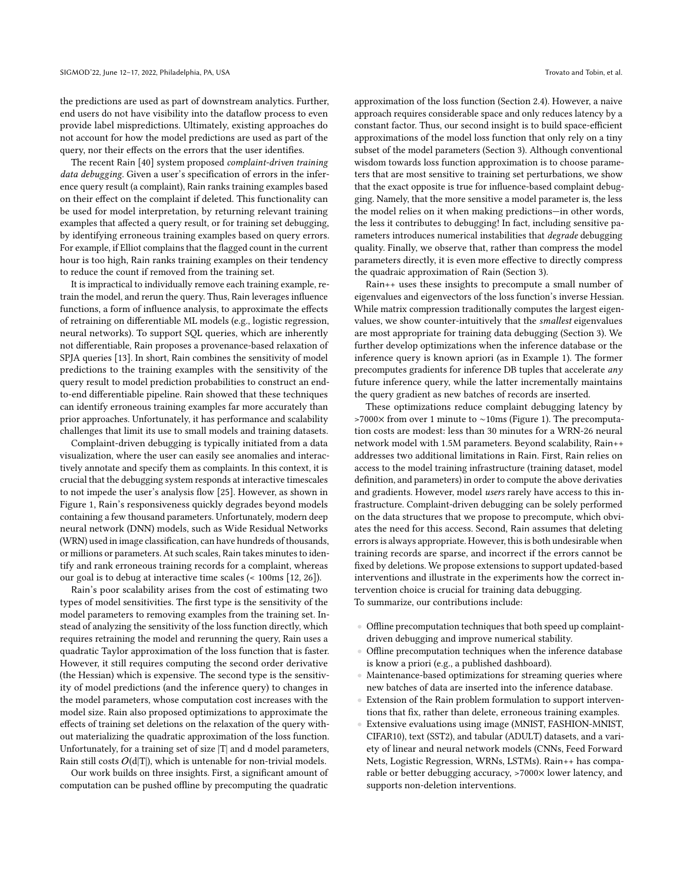the predictions are used as part of downstream analytics. Further, end users do not have visibility into the dataflow process to even provide label mispredictions. Ultimately, existing approaches do not account for how the model predictions are used as part of the query, nor their effects on the errors that the user identifies.

The recent Rain [\[40\]](#page-12-0) system proposed complaint-driven training data debugging. Given a user's specification of errors in the inference query result (a complaint), Rain ranks training examples based on their effect on the complaint if deleted. This functionality can be used for model interpretation, by returning relevant training examples that affected a query result, or for training set debugging, by identifying erroneous training examples based on query errors. For example, if Elliot complains that the flagged count in the current hour is too high, Rain ranks training examples on their tendency to reduce the count if removed from the training set.

It is impractical to individually remove each training example, retrain the model, and rerun the query. Thus, Rain leverages influence functions, a form of influence analysis, to approximate the effects of retraining on differentiable ML models (e.g., logistic regression, neural networks). To support SQL queries, which are inherently not differentiable, Rain proposes a provenance-based relaxation of SPJA queries [\[13\]](#page-12-13). In short, Rain combines the sensitivity of model predictions to the training examples with the sensitivity of the query result to model prediction probabilities to construct an endto-end differentiable pipeline. Rain showed that these techniques can identify erroneous training examples far more accurately than prior approaches. Unfortunately, it has performance and scalability challenges that limit its use to small models and training datasets.

Complaint-driven debugging is typically initiated from a data visualization, where the user can easily see anomalies and interactively annotate and specify them as complaints. In this context, it is crucial that the debugging system responds at interactive timescales to not impede the user's analysis flow [\[25\]](#page-12-14). However, as shown in Figure [1,](#page-0-0) Rain's responsiveness quickly degrades beyond models containing a few thousand parameters. Unfortunately, modern deep neural network (DNN) models, such as Wide Residual Networks (WRN) used in image classification, can have hundreds of thousands, or millions or parameters. At such scales, Rain takes minutes to identify and rank erroneous training records for a complaint, whereas our goal is to debug at interactive time scales (< 100ms [\[12,](#page-12-15) [26\]](#page-12-16)).

Rain's poor scalability arises from the cost of estimating two types of model sensitivities. The first type is the sensitivity of the model parameters to removing examples from the training set. Instead of analyzing the sensitivity of the loss function directly, which requires retraining the model and rerunning the query, Rain uses a quadratic Taylor approximation of the loss function that is faster. However, it still requires computing the second order derivative (the Hessian) which is expensive. The second type is the sensitivity of model predictions (and the inference query) to changes in the model parameters, whose computation cost increases with the model size. Rain also proposed optimizations to approximate the effects of training set deletions on the relaxation of the query without materializing the quadratic approximation of the loss function. Unfortunately, for a training set of size  $|T|$  and d model parameters, Rain still costs  $O(d|T|)$ , which is untenable for non-trivial models.

Our work builds on three insights. First, a significant amount of computation can be pushed offline by precomputing the quadratic

approximation of the loss function (Section [2.4\)](#page-3-0). However, a naive approach requires considerable space and only reduces latency by a constant factor. Thus, our second insight is to build space-efficient approximations of the model loss function that only rely on a tiny subset of the model parameters (Section [3\)](#page-3-1). Although conventional wisdom towards loss function approximation is to choose parameters that are most sensitive to training set perturbations, we show that the exact opposite is true for influence-based complaint debugging. Namely, that the more sensitive a model parameter is, the less the model relies on it when making predictions—in other words, the less it contributes to debugging! In fact, including sensitive parameters introduces numerical instabilities that degrade debugging quality. Finally, we observe that, rather than compress the model parameters directly, it is even more effective to directly compress the quadraic approximation of Rain (Section [3\)](#page-3-1).

Rain++ uses these insights to precompute a small number of eigenvalues and eigenvectors of the loss function's inverse Hessian. While matrix compression traditionally computes the largest eigenvalues, we show counter-intuitively that the smallest eigenvalues are most appropriate for training data debugging (Section [3\)](#page-3-1). We further develop optimizations when the inference database or the inference query is known apriori (as in Example [1\)](#page-0-1). The former precomputes gradients for inference DB tuples that accelerate any future inference query, while the latter incrementally maintains the query gradient as new batches of records are inserted.

These optimizations reduce complaint debugging latency by >7000× from over 1 minute to ∼10ms (Figure [1\)](#page-0-0). The precomputation costs are modest: less than 30 minutes for a WRN-26 neural network model with 1.5M parameters. Beyond scalability, Rain++ addresses two additional limitations in Rain. First, Rain relies on access to the model training infrastructure (training dataset, model definition, and parameters) in order to compute the above derivaties and gradients. However, model users rarely have access to this infrastructure. Complaint-driven debugging can be solely performed on the data structures that we propose to precompute, which obviates the need for this access. Second, Rain assumes that deleting errors is always appropriate. However, this is both undesirable when training records are sparse, and incorrect if the errors cannot be fixed by deletions. We propose extensions to support updated-based interventions and illustrate in the experiments how the correct intervention choice is crucial for training data debugging. To summarize, our contributions include:

- Offline precomputation techniques that both speed up complaintdriven debugging and improve numerical stability.
- Offline precomputation techniques when the inference database is know a priori (e.g., a published dashboard).
- Maintenance-based optimizations for streaming queries where new batches of data are inserted into the inference database.
- Extension of the Rain problem formulation to support interventions that fix, rather than delete, erroneous training examples.
- Extensive evaluations using image (MNIST, FASHION-MNIST, CIFAR10), text (SST2), and tabular (ADULT) datasets, and a variety of linear and neural network models (CNNs, Feed Forward Nets, Logistic Regression, WRNs, LSTMs). Rain++ has comparable or better debugging accuracy, >7000× lower latency, and supports non-deletion interventions.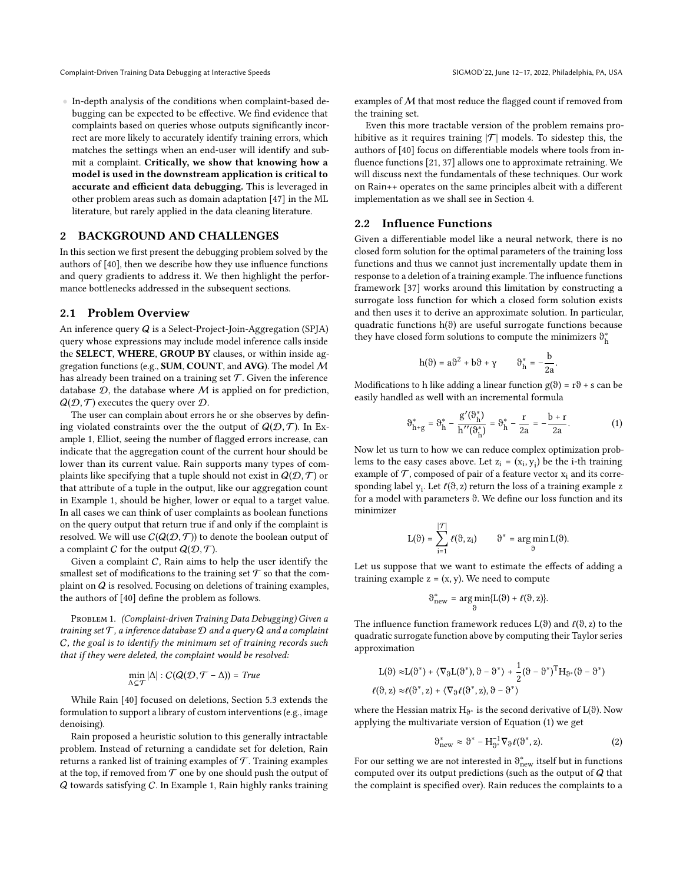• In-depth analysis of the conditions when complaint-based debugging can be expected to be effective. We find evidence that complaints based on queries whose outputs significantly incorrect are more likely to accurately identify training errors, which matches the settings when an end-user will identify and submit a complaint. Critically, we show that knowing how a model is used in the downstream application is critical to accurate and efficient data debugging. This is leveraged in other problem areas such as domain adaptation [\[47\]](#page-13-2) in the ML literature, but rarely applied in the data cleaning literature.

#### 2 BACKGROUND AND CHALLENGES

In this section we first present the debugging problem solved by the authors of [\[40\]](#page-12-0), then we describe how they use influence functions and query gradients to address it. We then highlight the performance bottlenecks addressed in the subsequent sections.

# 2.1 Problem Overview

An inference query Q is a Select-Project-Join-Aggregation (SPJA) query whose expressions may include model inference calls inside the SELECT, WHERE, GROUP BY clauses, or within inside aggregation functions (e.g., SUM, COUNT, and AVG). The model M has already been trained on a training set  $\mathcal T$ . Given the inference database  $D$ , the database where  $M$  is applied on for prediction,  $Q(D, \mathcal{T})$  executes the query over  $\mathcal{D}$ .

The user can complain about errors he or she observes by defining violated constraints over the the output of  $Q(D, \mathcal{T})$ . In Example [1,](#page-0-1) Elliot, seeing the number of flagged errors increase, can indicate that the aggregation count of the current hour should be lower than its current value. Rain supports many types of complaints like specifying that a tuple should not exist in  $Q(D, \mathcal{T})$  or that attribute of a tuple in the output, like our aggregation count in Example [1,](#page-0-1) should be higher, lower or equal to a target value. In all cases we can think of user complaints as boolean functions on the query output that return true if and only if the complaint is resolved. We will use  $C(Q(D, \mathcal{T}))$  to denote the boolean output of a complaint C for the output  $Q(D, \mathcal{T})$ .

Given a complaint C, Rain aims to help the user identify the smallest set of modifications to the training set  $\mathcal T$  so that the complaint on Q is resolved. Focusing on deletions of training examples, the authors of [\[40\]](#page-12-0) define the problem as follows.

<span id="page-2-1"></span>PROBLEM 1. (Complaint-driven Training Data Debugging) Given a training set  $T$ , a inference database  $D$  and a query  $Q$  and a complaint C, the goal is to identify the minimum set of training records such that if they were deleted, the complaint would be resolved:

$$
\min_{\Delta \subseteq \mathcal{T}} |\Delta| : C(Q(\mathcal{D}, \mathcal{T} - \Delta)) = True
$$

While Rain [\[40\]](#page-12-0) focused on deletions, Section [5.3](#page-6-0) extends the formulation to support a library of custom interventions (e.g., image denoising).

Rain proposed a heuristic solution to this generally intractable problem. Instead of returning a candidate set for deletion, Rain returns a ranked list of training examples of  $\mathcal T$ . Training examples at the top, if removed from  $\mathcal T$  one by one should push the output of Q towards satisfying C. In Example [1,](#page-0-1) Rain highly ranks training examples of M that most reduce the flagged count if removed from the training set.

Even this more tractable version of the problem remains prohibitive as it requires training  $|\mathcal{T}|$  models. To sidestep this, the authors of [\[40\]](#page-12-0) focus on differentiable models where tools from influence functions [\[21,](#page-12-11) [37\]](#page-12-17) allows one to approximate retraining. We will discuss next the fundamentals of these techniques. Our work on Rain++ operates on the same principles albeit with a different implementation as we shall see in Section [4.](#page-4-0)

# <span id="page-2-3"></span>2.2 Influence Functions

Given a differentiable model like a neural network, there is no closed form solution for the optimal parameters of the training loss functions and thus we cannot just incrementally update them in response to a deletion of a training example. The influence functions framework [\[37\]](#page-12-17) works around this limitation by constructing a surrogate loss function for which a closed form solution exists and then uses it to derive an approximate solution. In particular, quadratic functions h(θ) are useful surrogate functions because they have closed form solutions to compute the minimizers  $\vartheta_h^*$ 

<span id="page-2-0"></span>
$$
h(\vartheta) = a\vartheta^2 + b\vartheta + \gamma \qquad \vartheta_h^* = -\frac{b}{2a}.
$$

Modifications to h like adding a linear function  $g(\theta) = r\theta + s$  can be easily handled as well with an incremental formula

$$
\vartheta_{h+g}^* = \vartheta_h^* - \frac{g'(\vartheta_h^*)}{h''(\vartheta_h^*)} = \vartheta_h^* - \frac{r}{2a} = -\frac{b+r}{2a}.
$$
 (1)

Now let us turn to how we can reduce complex optimization problems to the easy cases above. Let  $z_i = (x_i, y_i)$  be the i-th training example of  $\mathcal T$ , composed of pair of a feature vector  $x_i$  and its corresponding label  $y_i$ . Let  $\ell(\vartheta, z)$  return the loss of a training example z for a model with parameters θ. We define our loss function and its minimizer

$$
L(\vartheta) = \sum_{i=1}^{|\mathcal{T}|} \ell(\vartheta, z_i) \qquad \vartheta^* = \underset{\vartheta}{\arg\min} \, L(\vartheta).
$$

Let us suppose that we want to estimate the effects of adding a training example  $z = (x, y)$ . We need to compute

$$
\vartheta_{\text{new}}^* = \underset{\vartheta}{\arg\min} \{L(\vartheta) + \ell(\vartheta, z)\}.
$$

The influence function framework reduces  $L(\theta)$  and  $\ell(\theta, z)$  to the quadratic surrogate function above by computing their Taylor series approximation

$$
L(\vartheta) \approx L(\vartheta^*) + \langle \nabla_{\vartheta} L(\vartheta^*), \vartheta - \vartheta^* \rangle + \frac{1}{2} (\vartheta - \vartheta^*)^T H_{\vartheta^*} (\vartheta - \vartheta^*)
$$
  

$$
\ell(\vartheta, z) \approx \ell(\vartheta^*, z) + \langle \nabla_{\vartheta} \ell(\vartheta^*, z), \vartheta - \vartheta^* \rangle
$$

where the Hessian matrix  $H_{\vartheta^*}$  is the second derivative of  $L(\vartheta)$ . Now applying the multivariate version of Equation [\(1\)](#page-2-0) we get

<span id="page-2-2"></span>
$$
\vartheta_{\text{new}}^* \approx \vartheta^* - H_{\vartheta^*}^{-1} \nabla_{\vartheta} \ell(\vartheta^*, z). \tag{2}
$$

For our setting we are not interested in  $\vartheta^*_\textrm{new}$  itself but in functions computed over its output predictions (such as the output of  $Q$  that the complaint is specified over). Rain reduces the complaints to a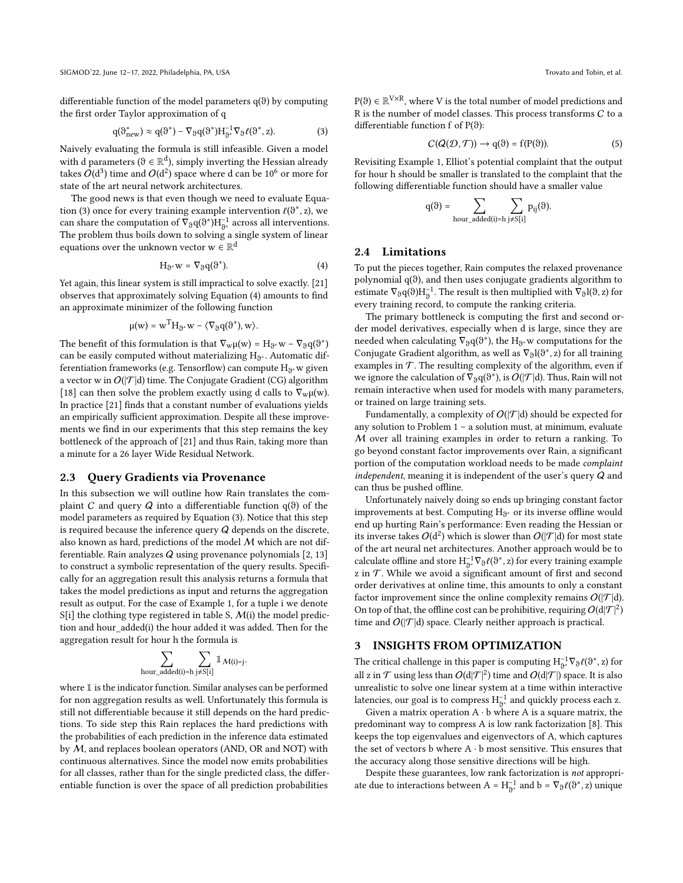differentiable function of the model parameters q(θ) by computing the first order Taylor approximation of q

<span id="page-3-2"></span>
$$
q(\vartheta_{\text{new}}^*) \approx q(\vartheta^*) - \nabla_{\vartheta} q(\vartheta^*) H_{\vartheta^*}^{-1} \nabla_{\vartheta} \ell(\vartheta^*, z). \tag{3}
$$

Naively evaluating the formula is still infeasible. Given a model with d parameters ( $\theta \in \mathbb{R}^d$ ), simply inverting the Hessian already takes  $O(\text{d}^3)$  time and  $O(\text{d}^2)$  space where  $\text{d}$  can be  $10^6$  or more for state of the art neural network architectures.

The good news is that even though we need to evaluate Equa-tion [\(3\)](#page-3-2) once for every training example intervention  $\ell(\vartheta^*, z)$ , we can share the computation of  $\nabla_{\theta} q(\theta^*) H_{\theta^*}^{-1}$  across all interventions. The problem thus boils down to solving a single system of linear equations over the unknown vector  $w \in \mathbb{R}^d$ 

<span id="page-3-3"></span>
$$
H_{\vartheta^*}w = \nabla_{\vartheta}q(\vartheta^*). \tag{4}
$$

Yet again, this linear system is still impractical to solve exactly. [\[21\]](#page-12-11) observes that approximately solving Equation [\(4\)](#page-3-3) amounts to find an approximate minimizer of the following function

$$
\mu(w)=w^TH_{\vartheta^*}w-\langle\nabla_\vartheta q(\vartheta^*),w\rangle.
$$

The benefit of this formulation is that  $\nabla_w \mu(w) = H_{\vartheta^*} w - \nabla_{\vartheta} q(\vartheta^*)$ can be easily computed without materializing  $\rm H_{\vartheta^*}.$  Automatic differentiation frameworks (e.g. Tensorflow) can compute  $\mathrm{H}_{\mathfrak{g}^*}$ w given a vector w in  $O(|\mathcal{T}|d)$  time. The Conjugate Gradient (CG) algorithm [\[18\]](#page-12-18) can then solve the problem exactly using d calls to  $\nabla_w \mu(w)$ . In practice [\[21\]](#page-12-11) finds that a constant number of evaluations yields an empirically sufficient approximation. Despite all these improvements we find in our experiments that this step remains the key bottleneck of the approach of [\[21\]](#page-12-11) and thus Rain, taking more than a minute for a 26 layer Wide Residual Network.

# 2.3 Query Gradients via Provenance

In this subsection we will outline how Rain translates the complaint C and query Q into a differentiable function  $q(\theta)$  of the model parameters as required by Equation [\(3\)](#page-3-2). Notice that this step is required because the inference query  $Q$  depends on the discrete, also known as hard, predictions of the model M which are not differentiable. Rain analyzes  $Q$  using provenance polynomials  $[2, 13]$  $[2, 13]$  $[2, 13]$ to construct a symbolic representation of the query results. Specifically for an aggregation result this analysis returns a formula that takes the model predictions as input and returns the aggregation result as output. For the case of Example [1,](#page-0-1) for a tuple i we denote  $S[i]$  the clothing type registered in table S,  $M(i)$  the model prediction and hour added(i) the hour added it was added. Then for the aggregation result for hour h the formula is

$$
\sum_{hour\_added(i)=h} \sum_{j \neq S[i]} \mathbb{1}_{\mathcal{M}(i)=j}.
$$

where 1 is the indicator function. Similar analyses can be performed for non aggregation results as well. Unfortunately this formula is still not differentiable because it still depends on the hard predictions. To side step this Rain replaces the hard predictions with the probabilities of each prediction in the inference data estimated by M, and replaces boolean operators (AND, OR and NOT) with continuous alternatives. Since the model now emits probabilities for all classes, rather than for the single predicted class, the differentiable function is over the space of all prediction probabilities

 $P(\vartheta) \in \mathbb{R}^{V \times R}$ , where V is the total number of model predictions and R is the number of model classes. This process transforms  $C$  to a differentiable function f of P(θ):

<span id="page-3-4"></span>
$$
C(Q(\mathcal{D}, \mathcal{T})) \to q(\vartheta) = f(P(\vartheta)). \tag{5}
$$

Revisiting Example [1,](#page-0-1) Elliot's potential complaint that the output for hour h should be smaller is translated to the complaint that the following differentiable function should have a smaller value

$$
q(\vartheta) = \sum_{hour\_added(i)=h} \sum_{j \neq S[i]} p_{ij}(\vartheta).
$$

#### <span id="page-3-0"></span>2.4 Limitations

To put the pieces together, Rain computes the relaxed provenance polynomial q(θ), and then uses conjugate gradients algorithm to estimate  $\nabla_{\vartheta} q(\vartheta) H_{\vartheta}^{-1}$ . The result is then multiplied with  $\nabla_{\vartheta} l(\vartheta, z)$  for every training record, to compute the ranking criteria.

The primary bottleneck is computing the first and second order model derivatives, especially when d is large, since they are needed when calculating  $\bar{\nabla}_{\vartheta} q(\vartheta^*)$ , the  $H_{\vartheta^*}$ w computations for the Conjugate Gradient algorithm, as well as  $\nabla_{\vartheta} l(\vartheta^*,z)$  for all training examples in  $\mathcal T$ . The resulting complexity of the algorithm, even if we ignore the calculation of  $\bar{\nabla}_{\vartheta} q(\vartheta^*)$ , is  $O(|\mathcal{T}|d)$ . Thus, Rain will not remain interactive when used for models with many parameters, or trained on large training sets.

Fundamentally, a complexity of  $O(|\mathcal{T}|d)$  should be expected for any solution to Problem [1](#page-2-1) – a solution must, at minimum, evaluate M over all training examples in order to return a ranking. To go beyond constant factor improvements over Rain, a significant portion of the computation workload needs to be made complaint independent, meaning it is independent of the user's query  $Q$  and can thus be pushed offline.

Unfortunately naively doing so ends up bringing constant factor improvements at best. Computing  $\mathrm{H}_{\mathfrak{d}^*}$  or its inverse offline would end up hurting Rain's performance: Even reading the Hessian or its inverse takes  $O(d^2)$  which is slower than  $O(|\mathcal{T}|d)$  for most state of the art neural net architectures. Another approach would be to calculate offline and store  $\mathrm{H}_{\vartheta^*}^{-1}\nabla_\vartheta \ell(\vartheta^*,z)$  for every training example z in  $T$ . While we avoid a significant amount of first and second order derivatives at online time, this amounts to only a constant factor improvement since the online complexity remains  $O(|\mathcal{T}|d)$ . On top of that, the offline cost can be prohibitive, requiring  $O(d|\mathcal{T}|^2)$ time and  $O(|\mathcal{T}|d)$  space. Clearly neither approach is practical.

# <span id="page-3-1"></span>3 INSIGHTS FROM OPTIMIZATION

The critical challenge in this paper is computing  $\mathrm{H}_{\vartheta^*}^{-1}\nabla_\vartheta \ell(\vartheta^*,z)$  for all z in  ${\mathcal T}$  using less than  $O(\mathrm{d} |{\mathcal T}|^2)$  time and  $O(\mathrm{d} |{\mathcal T}|)$  space. It is also unrealistic to solve one linear system at a time within interactive latencies, our goal is to compress  $\mathrm{H}_{9^*}^{-1}$  and quickly process each z.

Given a matrix operation  $A \cdot b$  where A is a square matrix, the predominant way to compress A is low rank factorization [\[8\]](#page-12-19). This keeps the top eigenvalues and eigenvectors of A, which captures the set of vectors b where  $A \cdot b$  most sensitive. This ensures that the accuracy along those sensitive directions will be high.

Despite these guarantees, low rank factorization is not appropriate due to interactions between A =  $H_{\vartheta^*}^{-1}$  and b =  $\nabla_{\vartheta} \ell(\vartheta^*, z)$  unique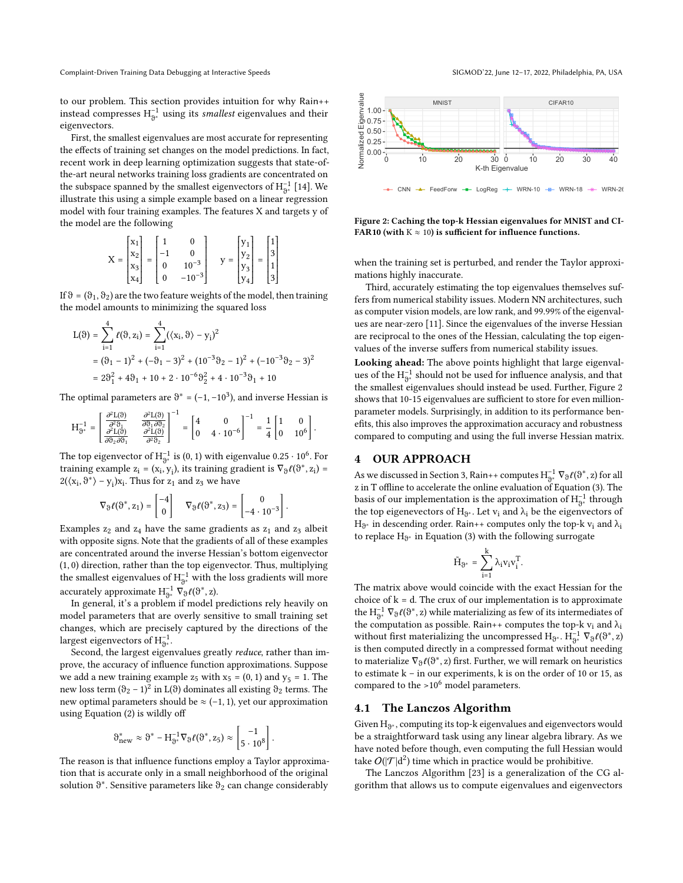to our problem. This section provides intuition for why Rain++ instead compresses  $\mathrm{H}_{9^*}^{-1}$  using its smallest eigenvalues and their eigenvectors.

First, the smallest eigenvalues are most accurate for representing the effects of training set changes on the model predictions. In fact, recent work in deep learning optimization suggests that state-ofthe-art neural networks training loss gradients are concentrated on the subspace spanned by the smallest eigenvectors of  $H_{\mathfrak{Z}^*}^{-1}$  [\[14\]](#page-12-20). We illustrate this using a simple example based on a linear regression model with four training examples. The features X and targets y of the model are the following

$$
X = \begin{bmatrix} x_1 \\ x_2 \\ x_3 \\ x_4 \end{bmatrix} = \begin{bmatrix} 1 & 0 \\ -1 & 0 \\ 0 & 10^{-3} \\ 0 & -10^{-3} \end{bmatrix} \quad y = \begin{bmatrix} y_1 \\ y_2 \\ y_3 \\ y_4 \end{bmatrix} = \begin{bmatrix} 1 \\ 3 \\ 1 \\ 3 \end{bmatrix}
$$

If  $\vartheta$  = ( $\vartheta_1$ ,  $\vartheta_2$ ) are the two feature weights of the model, then training the model amounts to minimizing the squared loss

$$
L(\vartheta) = \sum_{i=1}^{4} \ell(\vartheta, z_i) = \sum_{i=1}^{4} ((x_i, \vartheta) - y_i)^2
$$
  
=  $(\vartheta_1 - 1)^2 + (-\vartheta_1 - 3)^2 + (10^{-3}\vartheta_2 - 1)^2 + (-10^{-3}\vartheta_2 - 3)^2$   
=  $2\vartheta_1^2 + 4\vartheta_1 + 10 + 2 \cdot 10^{-6}\vartheta_2^2 + 4 \cdot 10^{-3}\vartheta_1 + 10$ 

The optimal parameters are  $\vartheta^* = (-1, -10^3)$ , and inverse Hessian is

$$
H_{\vartheta^*}^{-1}=\begin{bmatrix}\frac{\partial^2 L(\vartheta)}{\partial^2 \vartheta_1} & \frac{\partial^2 L(\vartheta)}{\partial \vartheta_1\partial \vartheta_2} \\ \frac{\partial^2 L(\vartheta)}{\partial \vartheta_2\partial \vartheta_1} & \frac{\partial^2 L(\vartheta)}{\partial^2 \vartheta_2}\end{bmatrix}^{-1}=\begin{bmatrix}4 & 0 \\ 0 & 4\cdot 10^{-6}\end{bmatrix}^{-1}=\frac{1}{4}\begin{bmatrix}1 & 0 \\ 0 & 10^6\end{bmatrix}.
$$

The top eigenvector of  $\mathrm{H}_{9^*}^{-1}$  is  $(0, 1)$  with eigenvalue  $0.25 \cdot 10^6$ . For training example  $z_i = (x_i, y_i)$ , its training gradient is  $\nabla_{\vartheta} \ell(\vartheta^*, z_i) =$  $2(\langle x_i, \vartheta^* \rangle - y_i)x_i$ . Thus for  $z_1$  and  $z_3$  we have

$$
\nabla_{\vartheta}\ell(\vartheta^*,z_1)=\begin{bmatrix}-4\\0\end{bmatrix}\quad \nabla_{\vartheta}\ell(\vartheta^*,z_3)=\begin{bmatrix}0\\-4\cdot10^{-3}\end{bmatrix}.
$$

Examples  $z_2$  and  $z_4$  have the same gradients as  $z_1$  and  $z_3$  albeit with opposite signs. Note that the gradients of all of these examples are concentrated around the inverse Hessian's bottom eigenvector (1, 0) direction, rather than the top eigenvector. Thus, multiplying the smallest eigenvalues of  $\mathrm{H}_{\mathfrak{I}^*}^{-1}$  with the loss gradients will more accurately approximate  $H_{\vartheta^*}^{-1} \nabla_{\vartheta} \ell(\vartheta^*, z)$ .

In general, it's a problem if model predictions rely heavily on model parameters that are overly sensitive to small training set changes, which are precisely captured by the directions of the largest eigenvectors of  $\mathrm{H}_{\vartheta^*}^{-1}$ .

Second, the largest eigenvalues greatly reduce, rather than improve, the accuracy of influence function approximations. Suppose we add a new training example  $z_5$  with  $x_5 = (0, 1)$  and  $y_5 = 1$ . The new loss term ( $\theta_2$  – 1)<sup>2</sup> in L( $\theta$ ) dominates all existing  $\theta_2$  terms. The new optimal parameters should be  $\approx$  (-1, 1), yet our approximation using Equation [\(2\)](#page-2-2) is wildly off

$$
\vartheta^*_{new} \approx \vartheta^* - H_{\vartheta^*}^{-1} \nabla_{\vartheta} \ell(\vartheta^*, z_5) \approx \begin{bmatrix} -1 \\ 5 \cdot 10^8 \end{bmatrix}.
$$

The reason is that influence functions employ a Taylor approximation that is accurate only in a small neighborhood of the original solution  $\vartheta^*$ . Sensitive parameters like  $\vartheta_2$  can change considerably

<span id="page-4-1"></span>

Figure 2: Caching the top-k Hessian eigenvalues for MNIST and CI-FAR10 (with  $K \approx 10$ ) is sufficient for influence functions.

when the training set is perturbed, and render the Taylor approximations highly inaccurate.

Third, accurately estimating the top eigenvalues themselves suffers from numerical stability issues. Modern NN architectures, such as computer vision models, are low rank, and 99.99% of the eigenvalues are near-zero [\[11\]](#page-12-21). Since the eigenvalues of the inverse Hessian are reciprocal to the ones of the Hessian, calculating the top eigenvalues of the inverse suffers from numerical stability issues.

Looking ahead: The above points highlight that large eigenvalues of the  ${\rm H}_{9^*}^{-1}$  should not be used for influence analysis, and that the smallest eigenvalues should instead be used. Further, Figure [2](#page-4-1) shows that 10-15 eigenvalues are sufficient to store for even millionparameter models. Surprisingly, in addition to its performance benefits, this also improves the approximation accuracy and robustness compared to computing and using the full inverse Hessian matrix.

# <span id="page-4-0"></span>4 OUR APPROACH

As we discussed in Section [3,](#page-3-1) Rain++ computes  $H_{\Theta^*}^{-1} \nabla_{\theta} \ell(\theta^*, z)$  for all z in T offline to accelerate the online evaluation of Equation [\(3\)](#page-3-2). The basis of our implementation is the approximation of  $\mathrm{H}_{\mathfrak{I}^*}^{-1}$  through the top eigenevectors of  $H_{\vartheta^*}$ . Let  $v_i$  and  $\lambda_i$  be the eigenvectors of  $\rm H_{\tiny \odot^*}$  in descending order. Rain++ computes only the top-k  $\rm v_i$  and  $\rm \lambda_i$ to replace  $\mathrm{H}_{\eth^*}$  in Equation [\(3\)](#page-3-2) with the following surrogate

$$
\tilde{H}_{\vartheta^*} \, = \, \sum_{i=1}^k \lambda_i v_i v_i^T.
$$

The matrix above would coincide with the exact Hessian for the choice of  $k = d$ . The crux of our implementation is to approximate the  $H_{\vartheta^*}^{-1}$   $\nabla_{\vartheta} \ell(\vartheta^*,z)$  while materializing as few of its intermediates of the computation as possible. Rain++ computes the top-k  $v_i$  and  $\lambda_i$ without first materializing the uncompressed  $H_{\vartheta^*}$  .  $H_{\vartheta^*}^{-1}\,\,\nabla_\vartheta \ell(\vartheta^*,z)$ is then computed directly in a compressed format without needing to materialize  $\nabla_{\vartheta} \ell(\vartheta^*,z)$  first. Further, we will remark on heuristics to estimate k – in our experiments, k is on the order of 10 or 15, as compared to the  $>10^6$  model parameters.

#### 4.1 The Lanczos Algorithm

Given  $\mathrm{H}_{\vartheta^*}$  , computing its top-k eigenvalues and eigenvectors would be a straightforward task using any linear algebra library. As we have noted before though, even computing the full Hessian would take  $O(|\mathcal{T}|d^2)$  time which in practice would be prohibitive.

The Lanczos Algorithm [\[23\]](#page-12-22) is a generalization of the CG algorithm that allows us to compute eigenvalues and eigenvectors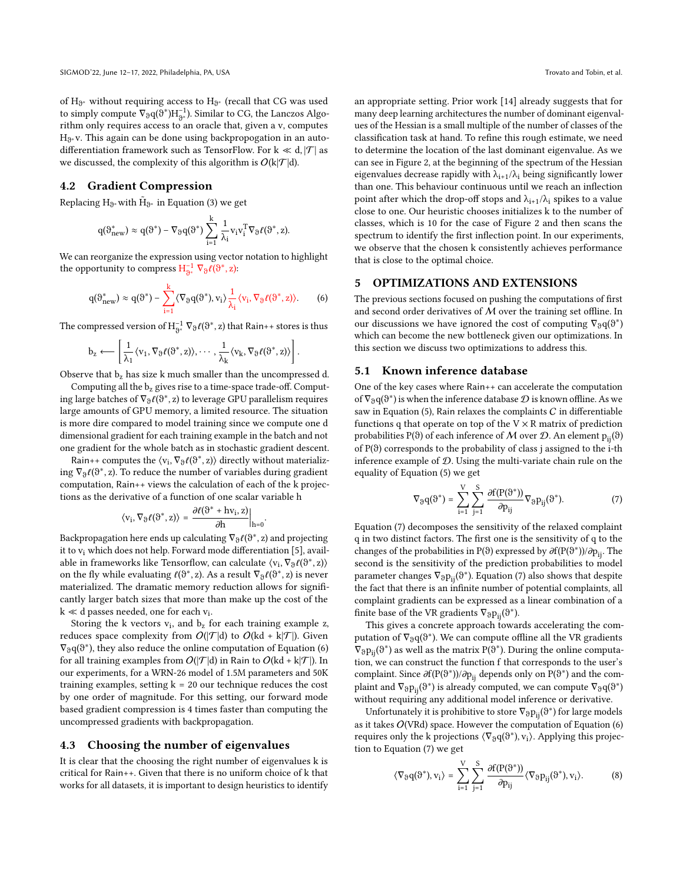of  $H_{\vartheta^*}$  without requiring access to  $H_{\vartheta^*}$  (recall that CG was used to simply compute  $\nabla_{\theta} q(\hat{\theta}^*) H_{\theta^*}^{-1}$ ). Similar to CG, the Lanczos Algorithm only requires access to an oracle that, given a v, computes H<sub>∂\*</sub>v. This again can be done using backpropogation in an autodifferentiation framework such as TensorFlow. For  $k \ll d$ ,  $|\mathcal{T}|$  as we discussed, the complexity of this algorithm is  $O(k|\mathcal{T}|d)$ .

#### <span id="page-5-2"></span>4.2 Gradient Compression

Replacing  $\mathrm{H}_{\vartheta^*}$  with  $\tilde{\mathrm{H}}_{\vartheta^*}$  in Equation [\(3\)](#page-3-2) we get

$$
q(\vartheta^*_{new}) \approx q(\vartheta^*) - \nabla_{\vartheta} q(\vartheta^*) \sum_{i=1}^k \frac{1}{\lambda_i} v_i v_i^T \nabla_{\vartheta} \ell(\vartheta^*, z).
$$

We can reorganize the expression using vector notation to highlight the opportunity to compress  $H_{\vartheta^*}^{-1} \nabla_{\vartheta} \ell(\vartheta^*, z)$ :

<span id="page-5-0"></span>
$$
q(\vartheta_{new}^*) \approx q(\vartheta^*) - \sum_{i=1}^k \langle \nabla_{\vartheta} q(\vartheta^*), v_i \rangle \frac{1}{\lambda_i} \langle v_i, \nabla_{\vartheta} \ell(\vartheta^*, z) \rangle.
$$
 (6)

The compressed version of  $\mathrm{H}_{\mathrm{S}^*}^{-1}\,\nabla_\vartheta \ell(\vartheta^*,z)$  that Rain++ stores is thus

$$
b_z \longleftarrow \left[ \frac{1}{\lambda_1} \langle v_1, \nabla_{\vartheta} \ell({\vartheta}^*, z) \rangle, \cdots, \frac{1}{\lambda_k} \langle v_k, \nabla_{\vartheta} \ell({\vartheta}^*, z) \rangle \right].
$$

Observe that  $b_z$  has size k much smaller than the uncompressed d.

Computing all the  $b_z$  gives rise to a time-space trade-off. Computing large batches of  $\nabla_{\vartheta} \ell(\vartheta^*,z)$  to leverage GPU parallelism requires large amounts of GPU memory, a limited resource. The situation is more dire compared to model training since we compute one d dimensional gradient for each training example in the batch and not one gradient for the whole batch as in stochastic gradient descent.

Rain++ computes the  $\langle v_i, \nabla_{\vartheta} \ell(\vartheta^*, z) \rangle$  directly without materializing  $\nabla_{\vartheta} \ell(\vartheta^*, z)$ . To reduce the number of variables during gradient computation, Rain++ views the calculation of each of the k projections as the derivative of a function of one scalar variable h

$$
\left\langle v_i, \nabla_\vartheta \ell(\vartheta^*,z) \right\rangle \, = \, \frac{\partial \ell(\vartheta^* + h v_i,z)}{\partial h}\bigg|_{h=0}.
$$

Backpropagation here ends up calculating  $\nabla_{\vartheta} \ell(\vartheta^*,z)$  and projecting it to vi which does not help. Forward mode differentiation [\[5\]](#page-12-23), available in frameworks like Tensorflow, can calculate  $\langle v_i, \nabla_\vartheta \ell(\vartheta^*,z)\rangle$ on the fly while evaluating  $\ell(\vartheta^*,z)$ . As a result  $\nabla_{\vartheta} \ell(\vartheta^*,z)$  is never materialized. The dramatic memory reduction allows for significantly larger batch sizes that more than make up the cost of the  $k \ll d$  passes needed, one for each  $v_i$ .

Storing the  $k$  vectors  $v_i$ , and  $b_z$  for each training example z, reduces space complexity from  $O(|\mathcal{T}|d)$  to  $O(kd + k|\mathcal{T}|)$ . Given  $\nabla_{\vartheta} q(\vartheta^*)$ , they also reduce the online computation of Equation [\(6\)](#page-5-0) for all training examples from  $O(|\mathcal{T}|d)$  in Rain to  $O(kd + k|\mathcal{T}|)$ . In our experiments, for a WRN-26 model of 1.5M parameters and 50K training examples, setting  $k = 20$  our technique reduces the cost by one order of magnitude. For this setting, our forward mode based gradient compression is 4 times faster than computing the uncompressed gradients with backpropagation.

#### <span id="page-5-4"></span>4.3 Choosing the number of eigenvalues

It is clear that the choosing the right number of eigenvalues k is critical for Rain++. Given that there is no uniform choice of k that works for all datasets, it is important to design heuristics to identify an appropriate setting. Prior work [\[14\]](#page-12-20) already suggests that for many deep learning architectures the number of dominant eigenvalues of the Hessian is a small multiple of the number of classes of the classification task at hand. To refine this rough estimate, we need to determine the location of the last dominant eigenvalue. As we can see in Figure [2,](#page-4-1) at the beginning of the spectrum of the Hessian eigenvalues decrease rapidly with  $\lambda_{i+1}/\lambda_i$  being significantly lower than one. This behaviour continuous until we reach an inflection point after which the drop-off stops and  $\lambda_{i+1}/\lambda_i$  spikes to a value close to one. Our heuristic chooses initializes k to the number of classes, which is 10 for the case of Figure [2](#page-4-1) and then scans the spectrum to identify the first inflection point. In our experiments, we observe that the chosen k consistently achieves performance that is close to the optimal choice.

#### <span id="page-5-5"></span>5 OPTIMIZATIONS AND EXTENSIONS

The previous sections focused on pushing the computations of first and second order derivatives of  $M$  over the training set offline. In our discussions we have ignored the cost of computing  $\nabla_{\vartheta} q(\vartheta^*)$ which can become the new bottleneck given our optimizations. In this section we discuss two optimizations to address this.

### <span id="page-5-6"></span>5.1 Known inference database

One of the key cases where Rain++ can accelerate the computation of  $\nabla_{\vartheta} q(\vartheta^*)$  is when the inference database  ${\mathcal{D}}$  is known offline. As we saw in Equation [\(5\)](#page-3-4), Rain relaxes the complaints  $C$  in differentiable functions q that operate on top of the  $V \times R$  matrix of prediction probabilities P(θ) of each inference of M over D. An element  $p_{ii}$ (θ) of  $P(\theta)$  corresponds to the probability of class j assigned to the i-th inference example of D. Using the multi-variate chain rule on the equality of Equation [\(5\)](#page-3-4) we get

<span id="page-5-1"></span>
$$
\nabla_{\vartheta} q(\vartheta^*) = \sum_{i=1}^{V} \sum_{j=1}^{S} \frac{\partial f(P(\vartheta^*))}{\partial p_{ij}} \nabla_{\vartheta} p_{ij}(\vartheta^*).
$$
 (7)

Equation [\(7\)](#page-5-1) decomposes the sensitivity of the relaxed complaint q in two distinct factors. The first one is the sensitivity of q to the changes of the probabilities in P( $\vartheta$ ) expressed by  $\partial f(P(\vartheta^*))/\partial p_{ij}$ . The second is the sensitivity of the prediction probabilities to model parameter changes  $\nabla_{\vartheta} p_{ij}(\vartheta^*)$ . Equation [\(7\)](#page-5-1) also shows that despite the fact that there is an infinite number of potential complaints, all complaint gradients can be expressed as a linear combination of a finite base of the VR gradients  $\nabla_{\vartheta} p_{ij}(\vartheta^*)$ .

This gives a concrete approach towards accelerating the computation of  $\nabla_{\vartheta} q(\vartheta^*)$ . We can compute offline all the VR gradients  $\nabla_{\vartheta} \mathrm{p}_{\mathrm{ij}}(\vartheta^*)$  as well as the matrix  $\mathrm{P}(\vartheta^*)$ . During the online computation, we can construct the function f that corresponds to the user's complaint. Since  $\partial f(P(\vartheta^*))/\partial p_{ij}$  depends only on  $P(\vartheta^*)$  and the complaint and  $\nabla_{\vartheta} \mathrm{p}_{\mathrm{ij}}(\vartheta^*)$  is already computed, we can compute  $\nabla_{\vartheta}\mathrm{q}(\vartheta^*)$ without requiring any additional model inference or derivative.

Unfortunately it is prohibitive to store  $\nabla_{\vartheta} p_{ij}(\vartheta^*)$  for large models as it takes  $O(VRd)$  space. However the computation of Equation [\(6\)](#page-5-0) requires only the k projections  $\langle \nabla_{\vartheta} q(\vartheta^*) , v_i \rangle$ . Applying this projection to Equation [\(7\)](#page-5-1) we get

<span id="page-5-3"></span>
$$
\langle \nabla_{\vartheta} q(\vartheta^*), v_i \rangle = \sum_{i=1}^V \sum_{j=1}^S \frac{\partial f(P(\vartheta^*))}{\partial p_{ij}} \langle \nabla_{\vartheta} p_{ij}(\vartheta^*), v_i \rangle.
$$
 (8)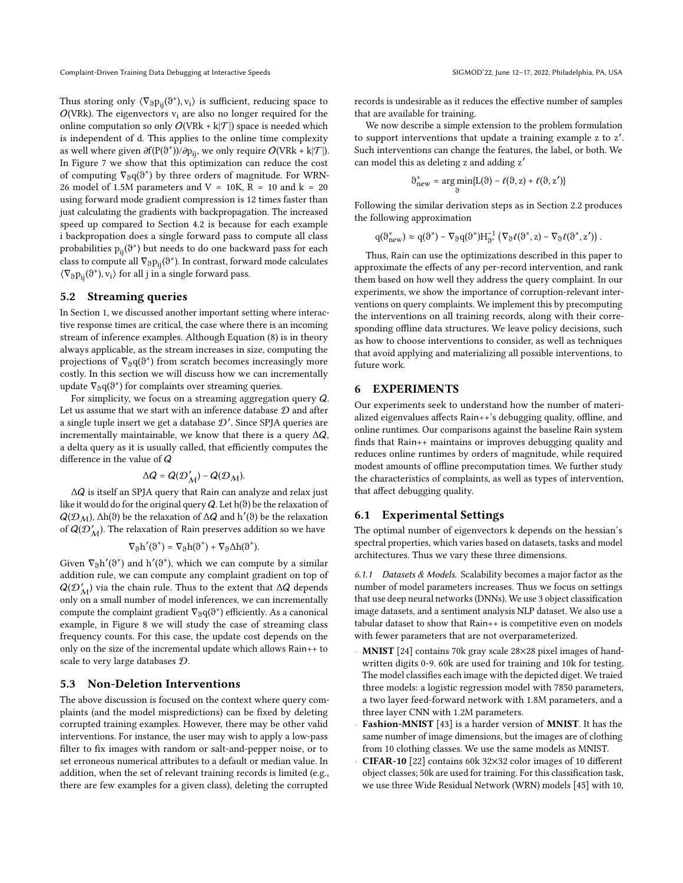Thus storing only  $\langle \nabla_{\vartheta} p_{ij}(\vartheta^*) , v_i \rangle$  is sufficient, reducing space to  $O(VRk)$ . The eigenvectors  $v_i$  are also no longer required for the online computation so only  $O(VRk + k|\mathcal{T}|)$  space is needed which is independent of d. This applies to the online time complexity as well where given  $\partial f(P(\vartheta^*))/\partial p_{ij}$ , we only require  $O(\operatorname{VRk} + \mathbf{k}|\mathcal{T}|).$ In Figure [7](#page-9-0) we show that this optimization can reduce the cost of computing  $\nabla_{\vartheta} q(\vartheta^*)$  by three orders of magnitude. For WRN-26 model of 1.5M parameters and  $V = 10K$ ,  $R = 10$  and  $k = 20$ using forward mode gradient compression is 12 times faster than just calculating the gradients with backpropagation. The increased speed up compared to Section [4.2](#page-5-2) is because for each example i backpropation does a single forward pass to compute all class probabilities  $p_{ij}(\vartheta^*)$  but needs to do one backward pass for each class to compute all  $\nabla_{\vartheta} p_{ij}(\vartheta^*)$ . In contrast, forward mode calculates  $\langle \nabla_{\vartheta} p_{ij}(\vartheta^*) , v_i \rangle$  for all j in a single forward pass.

#### 5.2 Streaming queries

In Section [1,](#page-0-2) we discussed another important setting where interactive response times are critical, the case where there is an incoming stream of inference examples. Although Equation [\(8\)](#page-5-3) is in theory always applicable, as the stream increases in size, computing the projections of  $\nabla_{\vartheta} q(\vartheta^*)$  from scratch becomes increasingly more costly. In this section we will discuss how we can incrementally update  $\nabla_{\vartheta} q(\vartheta^*)$  for complaints over streaming queries.

For simplicity, we focus on a streaming aggregation query Q. Let us assume that we start with an inference database  ${\mathcal D}$  and after a single tuple insert we get a database  $\mathcal{D}'$ . Since SPJA queries are incrementally maintainable, we know that there is a query  $\Delta Q$ , a delta query as it is usually called, that efficiently computes the difference in the value of Q

$$
\Delta Q = Q(\mathcal{D}'_{\mathcal{M}}) - Q(\mathcal{D}_{\mathcal{M}}).
$$

ΔQ is itself an SPJA query that Rain can analyze and relax just like it would do for the original query  $Q$ . Let  $h(\vartheta)$  be the relaxation of  $Q(\mathcal{D}_\mathcal{M})$ ,  $\Delta h(\vartheta)$  be the relaxation of  $\Delta Q$  and  $h'(\vartheta)$  be the relaxation of  $Q(\mathcal{D}_\mathcal{M}^\prime)$ . The relaxation of Rain preserves addition so we have

$$
\nabla_\vartheta h'(\vartheta^*) = \nabla_\vartheta h(\vartheta^*) + \nabla_\vartheta \Delta h(\vartheta^*).
$$

Given  $\nabla_{\vartheta} h'(\vartheta^*)$  and  $h'(\vartheta^*)$ , which we can compute by a similar addition rule, we can compute any complaint gradient on top of  $Q(\mathcal{D}_{\mathcal{M}}^{\prime})$  via the chain rule. Thus to the extent that  $\Delta Q$  depends only on a small number of model inferences, we can incrementally compute the complaint gradient  $\nabla_{\vartheta} q(\vartheta^*)$  efficiently. As a canonical example, in Figure [8](#page-9-1) we will study the case of streaming class frequency counts. For this case, the update cost depends on the only on the size of the incremental update which allows Rain++ to scale to very large databases D.

#### <span id="page-6-0"></span>5.3 Non-Deletion Interventions

The above discussion is focused on the context where query complaints (and the model mispredictions) can be fixed by deleting corrupted training examples. However, there may be other valid interventions. For instance, the user may wish to apply a low-pass filter to fix images with random or salt-and-pepper noise, or to set erroneous numerical attributes to a default or median value. In addition, when the set of relevant training records is limited (e.g., there are few examples for a given class), deleting the corrupted

.

records is undesirable as it reduces the effective number of samples that are available for training.

We now describe a simple extension to the problem formulation to support interventions that update a training example z to z'. Such interventions can change the features, the label, or both. We can model this as deleting z and adding z′

$$
\vartheta_{\text{new}}^* = \underset{\vartheta}{\arg\min} \{ L(\vartheta) - \ell(\vartheta, z) + \ell(\vartheta, z') \}
$$

Following the similar derivation steps as in Section [2.2](#page-2-3) produces the following approximation

$$
q(\vartheta_{new}^*) \approx q(\vartheta^*) - \nabla_{\vartheta} q(\vartheta^*) H_{\vartheta^*}^{-1} \left( \nabla_{\vartheta} \ell(\vartheta^*, z) - \nabla_{\vartheta} \ell(\vartheta^*, z') \right)
$$

Thus, Rain can use the optimizations described in this paper to approximate the effects of any per-record intervention, and rank them based on how well they address the query complaint. In our experiments, we show the importance of corruption-relevant interventions on query complaints. We implement this by precomputing the interventions on all training records, along with their corresponding offline data structures. We leave policy decisions, such as how to choose interventions to consider, as well as techniques that avoid applying and materializing all possible interventions, to future work.

# 6 EXPERIMENTS

Our experiments seek to understand how the number of materialized eigenvalues affects Rain++'s debugging quality, offline, and online runtimes. Our comparisons against the baseline Rain system finds that Rain++ maintains or improves debugging quality and reduces online runtimes by orders of magnitude, while required modest amounts of offline precomputation times. We further study the characteristics of complaints, as well as types of intervention, that affect debugging quality.

# 6.1 Experimental Settings

The optimal number of eigenvectors k depends on the hessian's spectral properties, which varies based on datasets, tasks and model architectures. Thus we vary these three dimensions.

6.1.1 Datasets & Models. Scalability becomes a major factor as the number of model parameters increases. Thus we focus on settings that use deep neural networks (DNNs). We use 3 object classification image datasets, and a sentiment analysis NLP dataset. We also use a tabular dataset to show that Rain++ is competitive even on models with fewer parameters that are not overparameterized.

- MNIST [\[24\]](#page-12-24) contains 70k gray scale 28×28 pixel images of handwritten digits 0-9. 60k are used for training and 10k for testing. The model classifies each image with the depicted diget. We traied three models: a logistic regression model with 7850 parameters, a two layer feed-forward network with 1.8M parameters, and a three layer CNN with 1.2M parameters.
- Fashion-MNIST [\[43\]](#page-12-25) is a harder version of MNIST. It has the same number of image dimensions, but the images are of clothing from 10 clothing classes. We use the same models as MNIST.
- CIFAR-10 [\[22\]](#page-12-26) contains 60k 32×32 color images of 10 different object classes; 50k are used for training. For this classification task, we use three Wide Residual Network (WRN) models [\[45\]](#page-13-3) with 10,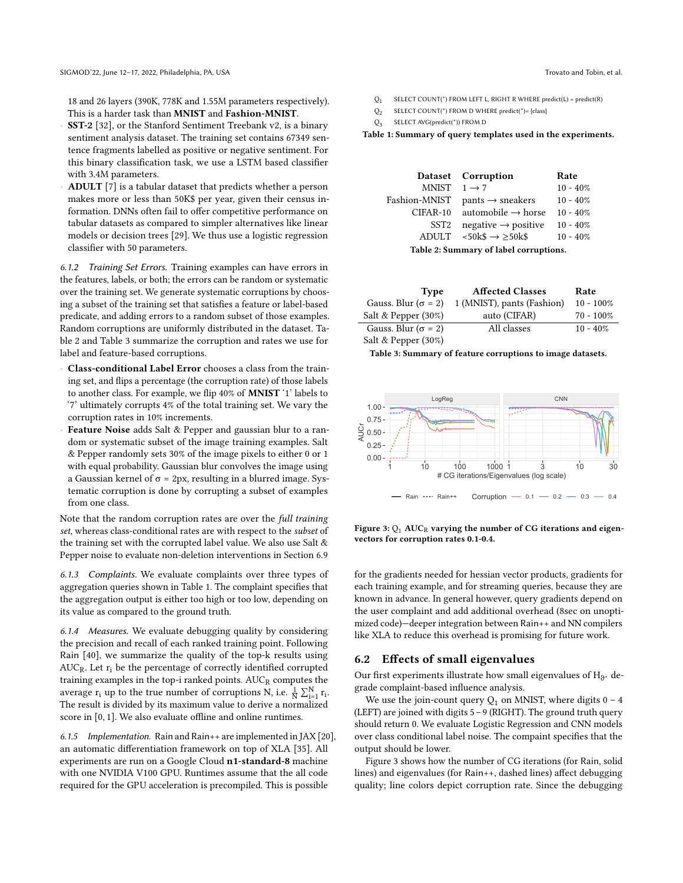18 and 26 layers (390K, 778K and 1.55M parameters respectively). This is a harder task than MNIST and Fashion-MNIST.

- SST-2 [\[32\]](#page-12-27), or the Stanford Sentiment Treebank v2, is a binary sentiment analysis dataset. The training set contains 67349 sentence fragments labelled as positive or negative sentiment. For this binary classification task, we use a LSTM based classifier with 3.4M parameters.
- ADULT [\[7\]](#page-12-28) is a tabular dataset that predicts whether a person makes more or less than 50K\$ per year, given their census information. DNNs often fail to offer competitive performance on tabular datasets as compared to simpler alternatives like linear models or decision trees [\[29\]](#page-12-29). We thus use a logistic regression classifier with 50 parameters.

6.1.2 Training Set Errors. Training examples can have errors in the features, labels, or both; the errors can be random or systematic over the training set. We generate systematic corruptions by choosing a subset of the training set that satisfies a feature or label-based predicate, and adding errors to a random subset of those examples. Random corruptions are uniformly distributed in the dataset. Table [2](#page-7-0) and Table [3](#page-7-1) summarize the corruption and rates we use for label and feature-based corruptions.

- Class-conditional Label Error chooses a class from the training set, and flips a percentage (the corruption rate) of those labels to another class. For example, we flip 40% of MNIST '1' labels to '7' ultimately corrupts 4% of the total training set. We vary the corruption rates in 10% increments.
- Feature Noise adds Salt & Pepper and gaussian blur to a random or systematic subset of the image training examples. Salt & Pepper randomly sets 30% of the image pixels to either 0 or 1 with equal probability. Gaussian blur convolves the image using a Gaussian kernel of  $\sigma$  = 2px, resulting in a blurred image. Systematic corruption is done by corrupting a subset of examples from one class.

Note that the random corruption rates are over the full training set, whereas class-conditional rates are with respect to the subset of the training set with the corrupted label value. We also use Salt & Pepper noise to evaluate non-deletion interventions in Section [6.9](#page-11-2)

6.1.3 Complaints. We evaluate complaints over three types of aggregation queries shown in Table [1.](#page-7-2) The complaint specifies that the aggregation output is either too high or too low, depending on its value as compared to the ground truth.

6.1.4 Measures. We evaluate debugging quality by considering the precision and recall of each ranked training point. Following Rain [\[40\]](#page-12-0), we summarize the quality of the top-k results using  $AUC_R$ . Let  $r_i$  be the percentage of correctly identified corrupted training examples in the top-i ranked points.  $AUC_R$  computes the average  $\mathbf{r}_i$  up to the true number of corruptions N, i.e.  $\frac{1}{N} \sum_{i=1}^{N} \mathbf{r}_i$ . The result is divided by its maximum value to derive a normalized score in [0, 1]. We also evaluate offline and online runtimes.

6.1.5 Implementation. Rain and Rain++ are implemented in JAX [\[20\]](#page-12-30), an automatic differentiation framework on top of XLA [\[35\]](#page-12-31). All experiments are run on a Google Cloud n1-standard-8 machine with one NVIDIA V100 GPU. Runtimes assume that the all code required for the GPU acceleration is precompiled. This is possible

- <span id="page-7-2"></span> $Q_1$ SELECT COUNT(\*) FROM LEFT L, RIGHT R WHERE predict(L) = predict(R)
- $O<sub>2</sub>$ SELECT COUNT(\*) FROM D WHERE predict(\*)= {class}
- $Q_3$ SELECT AVG(predict(\*)) FROM D

Table 1: Summary of query templates used in the experiments.

<span id="page-7-0"></span>

|                                        | Dataset Corruption                        | Rate        |  |  |  |
|----------------------------------------|-------------------------------------------|-------------|--|--|--|
| MNIST $1 \rightarrow 7$                |                                           | $10 - 40\%$ |  |  |  |
| Fashion-MNIST                          | $pants \rightarrow sneakers$              | $10 - 40\%$ |  |  |  |
| CIFAR-10                               | automobile $\rightarrow$ horse            | $10 - 40\%$ |  |  |  |
| SST <sub>2</sub>                       | $negative \rightarrow positive$           | $10 - 40\%$ |  |  |  |
|                                        | ADULT $\leq 50k\$ $\rightarrow \geq 50k\$ | $10 - 40\%$ |  |  |  |
| Table 2: Summary of label corruptions. |                                           |             |  |  |  |

<span id="page-7-1"></span>

| <b>Type</b>                 | <b>Affected Classes</b>    | Rate         |
|-----------------------------|----------------------------|--------------|
| Gauss. Blur ( $\sigma$ = 2) | 1 (MNIST), pants (Fashion) | $10 - 100\%$ |
| Salt & Pepper $(30\%)$      | auto (CIFAR)               | $70 - 100\%$ |
| Gauss. Blur ( $\sigma$ = 2) | All classes                | $10 - 40\%$  |
| Salt & Pepper (30%)         |                            |              |

Table 3: Summary of feature corruptions to image datasets.

<span id="page-7-3"></span>

Figure 3:  $Q_1$  AUC<sub>R</sub> varying the number of CG iterations and eigenvectors for corruption rates 0.1-0.4.

for the gradients needed for hessian vector products, gradients for each training example, and for streaming queries, because they are known in advance. In general however, query gradients depend on the user complaint and add additional overhead (8sec on unoptimized code)—deeper integration between Rain++ and NN compilers like XLA to reduce this overhead is promising for future work.

#### 6.2 Effects of small eigenvalues

Our first experiments illustrate how small eigenvalues of  $\mathrm{H}_{\vartheta^*}$  degrade complaint-based influence analysis.

We use the join-count query  $Q_1$  on MNIST, where digits  $0 - 4$ (LEFT) are joined with digits 5 – 9 (RIGHT). The ground truth query should return 0. We evaluate Logistic Regression and CNN models over class conditional label noise. The compaint specifies that the output should be lower.

Figure [3](#page-7-3) shows how the number of CG iterations (for Rain, solid lines) and eigenvalues (for Rain++, dashed lines) affect debugging quality; line colors depict corruption rate. Since the debugging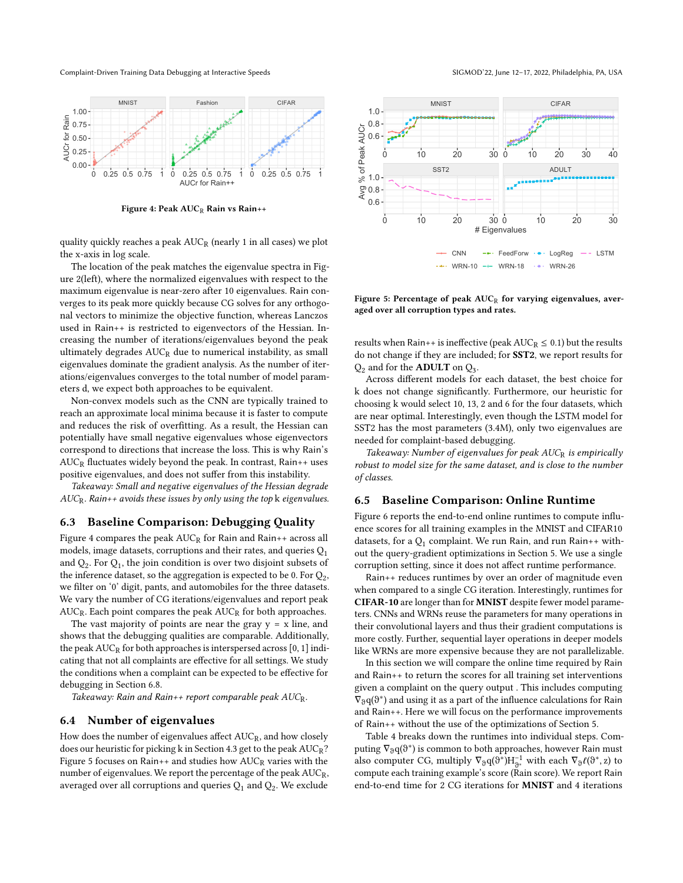Complaint-Driven Training Data Debugging at Interactive Speeds SIGMOD'22, June 12-17, 2022, Philadelphia, PA, USA

<span id="page-8-0"></span>

Figure 4: Peak  $AUC_R$  Rain vs Rain++

quality quickly reaches a peak  $AUC_R$  (nearly 1 in all cases) we plot the x-axis in log scale.

The location of the peak matches the eigenvalue spectra in Figure [2\(](#page-4-1)left), where the normalized eigenvalues with respect to the maximum eigenvalue is near-zero after 10 eigenvalues. Rain converges to its peak more quickly because CG solves for any orthogonal vectors to minimize the objective function, whereas Lanczos used in Rain++ is restricted to eigenvectors of the Hessian. Increasing the number of iterations/eigenvalues beyond the peak ultimately degrades  $AUC_R$  due to numerical instability, as small eigenvalues dominate the gradient analysis. As the number of iterations/eigenvalues converges to the total number of model parameters d, we expect both approaches to be equivalent.

Non-convex models such as the CNN are typically trained to reach an approximate local minima because it is faster to compute and reduces the risk of overfitting. As a result, the Hessian can potentially have small negative eigenvalues whose eigenvectors correspond to directions that increase the loss. This is why Rain's  $AUC_R$  fluctuates widely beyond the peak. In contrast, Rain++ uses positive eigenvalues, and does not suffer from this instability.

Takeaway: Small and negative eigenvalues of the Hessian degrade  $AUC_R$ . Rain++ avoids these issues by only using the top  $k$  eigenvalues.

#### <span id="page-8-2"></span>6.3 Baseline Comparison: Debugging Quality

Figure [4](#page-8-0) compares the peak  $AUC_R$  for Rain and Rain++ across all models, image datasets, corruptions and their rates, and queries  $Q_1$ and  $Q_2$ . For  $Q_1$ , the join condition is over two disjoint subsets of the inference dataset, so the aggregation is expected to be 0. For  $\mathrm{Q}_2,$ we filter on '0' digit, pants, and automobiles for the three datasets. We vary the number of CG iterations/eigenvalues and report peak  $AUC_R$ . Each point compares the peak  $AUC_R$  for both approaches.

The vast majority of points are near the gray  $y = x$  line, and shows that the debugging qualities are comparable. Additionally, the peak  $AUC_R$  for both approaches is interspersed across [0, 1] indicating that not all complaints are effective for all settings. We study the conditions when a complaint can be expected to be effective for debugging in Section [6.8.](#page-9-2)

Takeaway: Rain and Rain++ report comparable peak  $AUC_R$ .

#### 6.4 Number of eigenvalues

How does the number of eigenvalues affect  $AUC_R$ , and how closely does our heuristic for picking k in Section [4.3](#page-5-4) get to the peak AUCR? Figure [5](#page-8-1) focuses on Rain++ and studies how  $AUC_R$  varies with the number of eigenvalues. We report the percentage of the peak  $AUC_R$ , averaged over all corruptions and queries  $\mathrm{Q}_1$  and  $\mathrm{Q}_2.$  We exclude

<span id="page-8-1"></span>

Figure 5: Percentage of peak  $AUC_R$  for varying eigenvalues, averaged over all corruption types and rates.

results when Rain++ is ineffective (peak  $AUC_R \leq 0.1$ ) but the results do not change if they are included; for SST2, we report results for  $Q_2$  and for the **ADULT** on  $Q_3$ .

Across different models for each dataset, the best choice for k does not change significantly. Furthermore, our heuristic for choosing k would select 10, 13, 2 and 6 for the four datasets, which are near optimal. Interestingly, even though the LSTM model for SST2 has the most parameters (3.4M), only two eigenvalues are needed for complaint-based debugging.

Takeaway: Number of eigenvalues for peak AUCR is empirically robust to model size for the same dataset, and is close to the number of classes.

### 6.5 Baseline Comparison: Online Runtime

Figure [6](#page-9-3) reports the end-to-end online runtimes to compute influence scores for all training examples in the MNIST and CIFAR10 datasets, for a  $Q_1$  complaint. We run Rain, and run Rain++ without the query-gradient optimizations in Section [5.](#page-5-5) We use a single corruption setting, since it does not affect runtime performance.

Rain++ reduces runtimes by over an order of magnitude even when compared to a single CG iteration. Interestingly, runtimes for CIFAR-10 are longer than for MNIST despite fewer model parameters. CNNs and WRNs reuse the parameters for many operations in their convolutional layers and thus their gradient computations is more costly. Further, sequential layer operations in deeper models like WRNs are more expensive because they are not parallelizable.

In this section we will compare the online time required by Rain and Rain++ to return the scores for all training set interventions given a complaint on the query output . This includes computing  $\bar{\nabla}_{\vartheta}\mathbf{q}(\vartheta^*)$  and using it as a part of the influence calculations for Rain and Rain++. Here we will focus on the performance improvements of Rain++ without the use of the optimizations of Section [5.](#page-5-5)

Table [4](#page-9-4) breaks down the runtimes into individual steps. Computing  $\nabla_{\vartheta} q(\vartheta^*)$  is common to both approaches, however Rain must also computer CG, multiply  $\nabla_{\vartheta} q(\vartheta^*) H_{\vartheta^*}^{-1}$  with each  $\nabla_{\vartheta} \ell(\vartheta^*, z)$  to compute each training example's score (Rain score). We report Rain end-to-end time for 2 CG iterations for MNIST and 4 iterations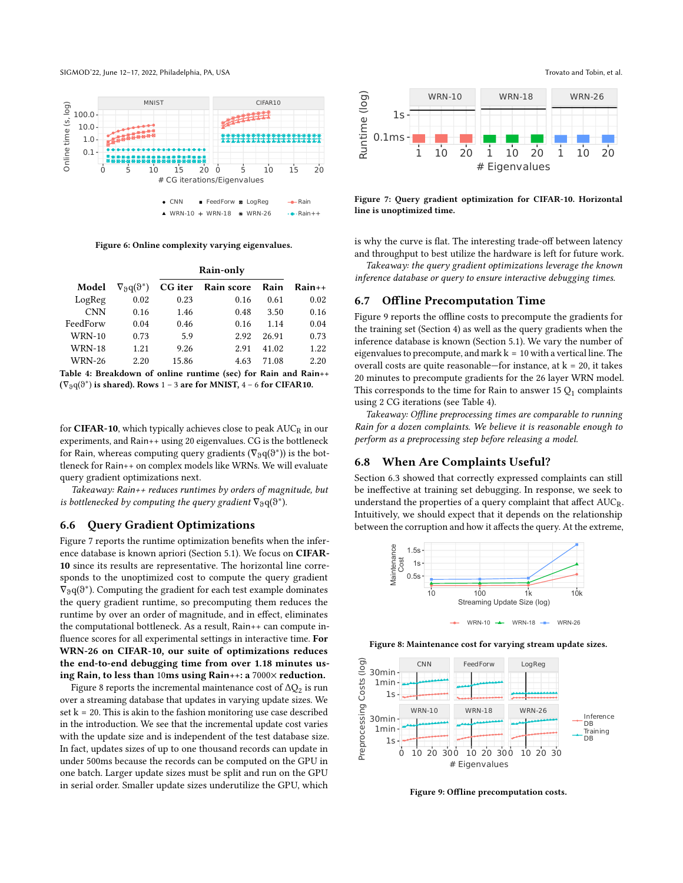SIGMOD'22, June 12–17, 2022, Philadelphia, PA, USA Trovato and Tobin, et al.

<span id="page-9-3"></span>

Figure 6: Online complexity varying eigenvalues.

<span id="page-9-4"></span>

|               |                                  |       | Rain-only          |       |          |
|---------------|----------------------------------|-------|--------------------|-------|----------|
| Model         | $\nabla_{\theta} q(\vartheta^*)$ |       | CG iter Rain score | Rain  | $Rain++$ |
| LogReg        | 0.02                             | 0.23  | 0.16               | 0.61  | 0.02     |
| <b>CNN</b>    | 0.16                             | 1.46  | 0.48               | 3.50  | 0.16     |
| FeedForw      | 0.04                             | 0.46  | 0.16               | 1.14  | 0.04     |
| <b>WRN-10</b> | 0.73                             | 5.9   | 2.92               | 26.91 | 0.73     |
| <b>WRN-18</b> | 1.21                             | 9.26  | 2.91               | 41.02 | 1.22     |
| <b>WRN-26</b> | 2.20                             | 15.86 | 4.63               | 71.08 | 2.20     |
|               |                                  |       |                    |       |          |

Table 4: Breakdown of online runtime (sec) for Rain and Rain++  $(\nabla_{\vartheta} q(\vartheta^*)$  is shared). Rows 1 – 3 are for MNIST, 4 – 6 for CIFAR10.

for CIFAR-10, which typically achieves close to peak  $AUC_R$  in our experiments, and Rain++ using 20 eigenvalues. CG is the bottleneck for Rain, whereas computing query gradients  $(\nabla_{\vartheta} q(\vartheta^*))$  is the bottleneck for Rain++ on complex models like WRNs. We will evaluate query gradient optimizations next.

Takeaway: Rain++ reduces runtimes by orders of magnitude, but is bottlenecked by computing the query gradient  $\nabla_{\mathfrak{D}} q(\vartheta^*)$ .

#### 6.6 Query Gradient Optimizations

Figure [7](#page-9-0) reports the runtime optimization benefits when the inference database is known apriori (Section [5.1\)](#page-5-6). We focus on CIFAR-10 since its results are representative. The horizontal line corresponds to the unoptimized cost to compute the query gradient  $\bar{\nabla}_{\vartheta} q(\vartheta^*)$ . Computing the gradient for each test example dominates the query gradient runtime, so precomputing them reduces the runtime by over an order of magnitude, and in effect, eliminates the computational bottleneck. As a result, Rain++ can compute influence scores for all experimental settings in interactive time. For WRN-26 on CIFAR-10, our suite of optimizations reduces the end-to-end debugging time from over 1.18 minutes using Rain, to less than 10ms using Rain++: a 7000× reduction.

Figure [8](#page-9-1) reports the incremental maintenance cost of  $\Delta\mathrm{Q}_2$  is run over a streaming database that updates in varying update sizes. We set  $k = 20$ . This is akin to the fashion monitoring use case described in the introduction. We see that the incremental update cost varies with the update size and is independent of the test database size. In fact, updates sizes of up to one thousand records can update in under 500ms because the records can be computed on the GPU in one batch. Larger update sizes must be split and run on the GPU

<span id="page-9-0"></span>

Figure 7: Query gradient optimization for CIFAR-10. Horizontal line is unoptimized time.

is why the curve is flat. The interesting trade-off between latency and throughput to best utilize the hardware is left for future work.

Takeaway: the query gradient optimizations leverage the known inference database or query to ensure interactive debugging times.

### 6.7 Offline Precomputation Time

Figure [9](#page-9-5) reports the offline costs to precompute the gradients for the training set (Section [4\)](#page-4-0) as well as the query gradients when the inference database is known (Section [5.1\)](#page-5-6). We vary the number of eigenvalues to precompute, and mark  $k = 10$  with a vertical line. The overall costs are quite reasonable—for instance, at  $k = 20$ , it takes 20 minutes to precompute gradients for the 26 layer WRN model. This corresponds to the time for Rain to answer 15  $Q_1$  complaints using 2 CG iterations (see Table [4\)](#page-9-4).

Takeaway: Offline preprocessing times are comparable to running Rain for a dozen complaints. We believe it is reasonable enough to perform as a preprocessing step before releasing a model.

#### <span id="page-9-2"></span>6.8 When Are Complaints Useful?

Section [6.3](#page-8-2) showed that correctly expressed complaints can still be ineffective at training set debugging. In response, we seek to understand the properties of a query complaint that affect  $AUC_R$ . Intuitively, we should expect that it depends on the relationship between the corruption and how it affects the query. At the extreme,

<span id="page-9-1"></span>

Figure 8: Maintenance cost for varying stream update sizes.

<span id="page-9-5"></span>

Figure 9: Offline precomputation costs.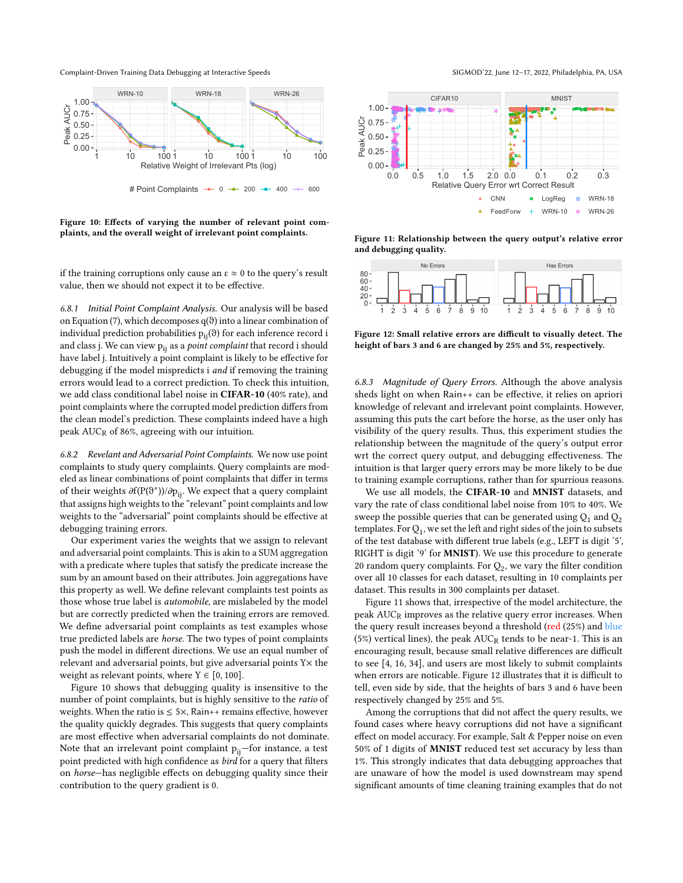Complaint-Driven Training Data Debugging at Interactive Speeds SIGMOD'22, June 12-17, 2022, Philadelphia, PA, USA

<span id="page-10-0"></span>

Figure 10: Effects of varying the number of relevant point com-

plaints, and the overall weight of irrelevant point complaints.

if the training corruptions only cause an  $\varepsilon \approx 0$  to the query's result value, then we should not expect it to be effective.

6.8.1 Initial Point Complaint Analysis. Our analysis will be based on Equation [\(7\)](#page-5-1), which decomposes q(θ) into a linear combination of individual prediction probabilities  $p_{ii}(\vartheta)$  for each inference record i and class j. We can view  $p_{ii}$  as a *point complaint* that record i should have label j. Intuitively a point complaint is likely to be effective for debugging if the model mispredicts i and if removing the training errors would lead to a correct prediction. To check this intuition, we add class conditional label noise in CIFAR-10 (40% rate), and point complaints where the corrupted model prediction differs from the clean model's prediction. These complaints indeed have a high peak  $AUC_R$  of 86%, agreeing with our intuition.

6.8.2 Revelant and Adversarial Point Complaints. We now use point complaints to study query complaints. Query complaints are modeled as linear combinations of point complaints that differ in terms of their weights  $\partial f(P(\vartheta^*))/\partial p_{ij}$ . We expect that a query complaint that assigns high weights to the "relevant" point complaints and low weights to the "adversarial" point complaints should be effective at debugging training errors.

Our experiment varies the weights that we assign to relevant and adversarial point complaints. This is akin to a SUM aggregation with a predicate where tuples that satisfy the predicate increase the sum by an amount based on their attributes. Join aggregations have this property as well. We define relevant complaints test points as those whose true label is automobile, are mislabeled by the model but are correctly predicted when the training errors are removed. We define adversarial point complaints as test examples whose true predicted labels are horse. The two types of point complaints push the model in different directions. We use an equal number of relevant and adversarial points, but give adversarial points Y× the weight as relevant points, where  $Y \in [0, 100]$ .

Figure [10](#page-10-0) shows that debugging quality is insensitive to the number of point complaints, but is highly sensitive to the ratio of weights. When the ratio is  $\leq$  5 $\times$ , Rain++ remains effective, however the quality quickly degrades. This suggests that query complaints are most effective when adversarial complaints do not dominate. Note that an irrelevant point complaint  $p_{ii}$ —for instance, a test point predicted with high confidence as bird for a query that filters on horse—has negligible effects on debugging quality since their contribution to the query gradient is 0.

<span id="page-10-1"></span>

Figure 11: Relationship between the query output's relative error and debugging quality.

<span id="page-10-2"></span>

Figure 12: Small relative errors are difficult to visually detect. The height of bars 3 and 6 are changed by 25% and 5%, respectively.

6.8.3 Magnitude of Query Errors. Although the above analysis sheds light on when Rain++ can be effective, it relies on apriori knowledge of relevant and irrelevant point complaints. However, assuming this puts the cart before the horse, as the user only has visibility of the query results. Thus, this experiment studies the relationship between the magnitude of the query's output error wrt the correct query output, and debugging effectiveness. The intuition is that larger query errors may be more likely to be due to training example corruptions, rather than for spurrious reasons.

We use all models, the CIFAR-10 and MNIST datasets, and vary the rate of class conditional label noise from 10% to 40%. We sweep the possible queries that can be generated using  $Q_1$  and  $Q_2$ templates. For  $\mathrm{Q}_1$ , we set the left and right sides of the join to subsets of the test database with different true labels (e.g., LEFT is digit '5', RIGHT is digit '9' for MNIST). We use this procedure to generate 20 random query complaints. For  $Q_2$ , we vary the filter condition over all 10 classes for each dataset, resulting in 10 complaints per dataset. This results in 300 complaints per dataset.

Figure [11](#page-10-1) shows that, irrespective of the model architecture, the peak  $AUC_R$  improves as the relative query error increases. When the query result increases beyond a threshold (red (25%) and blue (5%) vertical lines), the peak  $AUC_R$  tends to be near-1. This is an encouraging result, because small relative differences are difficult to see [\[4,](#page-12-32) [16,](#page-12-33) [34\]](#page-12-34), and users are most likely to submit complaints when errors are noticable. Figure [12](#page-10-2) illustrates that it is difficult to tell, even side by side, that the heights of bars 3 and 6 have been respectively changed by 25% and 5%.

Among the corruptions that did not affect the query results, we found cases where heavy corruptions did not have a significant effect on model accuracy. For example, Salt & Pepper noise on even 50% of 1 digits of MNIST reduced test set accuracy by less than 1%. This strongly indicates that data debugging approaches that are unaware of how the model is used downstream may spend significant amounts of time cleaning training examples that do not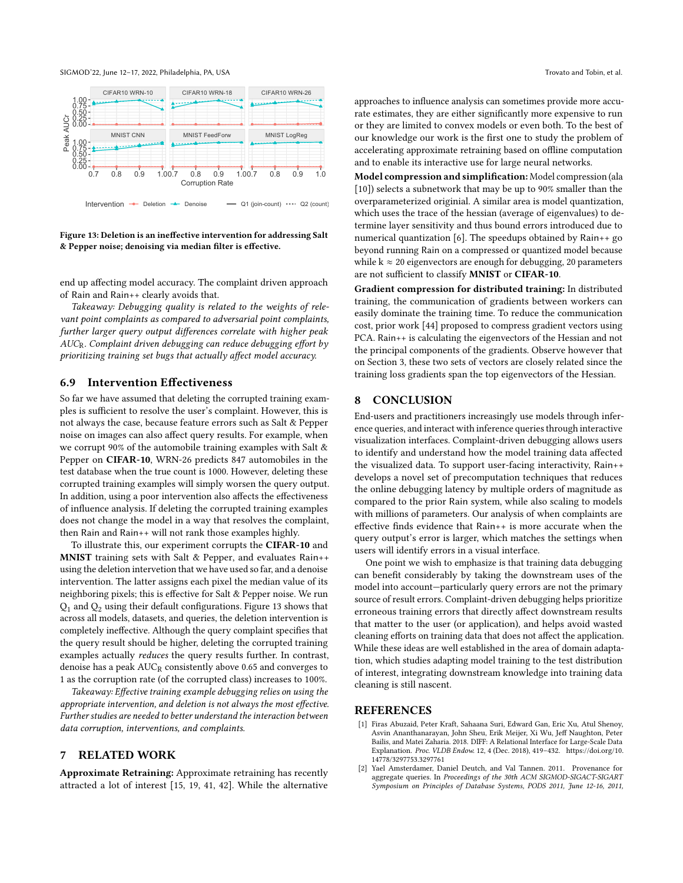

<span id="page-11-3"></span>

Figure 13: Deletion is an ineffective intervention for addressing Salt & Pepper noise; denoising via median filter is effective.

end up affecting model accuracy. The complaint driven approach of Rain and Rain++ clearly avoids that.

Takeaway: Debugging quality is related to the weights of relevant point complaints as compared to adversarial point complaints, further larger query output differences correlate with higher peak AUCR. Complaint driven debugging can reduce debugging effort by prioritizing training set bugs that actually affect model accuracy.

#### <span id="page-11-2"></span>6.9 Intervention Effectiveness

So far we have assumed that deleting the corrupted training examples is sufficient to resolve the user's complaint. However, this is not always the case, because feature errors such as Salt & Pepper noise on images can also affect query results. For example, when we corrupt 90% of the automobile training examples with Salt & Pepper on CIFAR-10, WRN-26 predicts 847 automobiles in the test database when the true count is 1000. However, deleting these corrupted training examples will simply worsen the query output. In addition, using a poor intervention also affects the effectiveness of influence analysis. If deleting the corrupted training examples does not change the model in a way that resolves the complaint, then Rain and Rain++ will not rank those examples highly.

To illustrate this, our experiment corrupts the CIFAR-10 and MNIST training sets with Salt & Pepper, and evaluates Rain++ using the deletion intervetion that we have used so far, and a denoise intervention. The latter assigns each pixel the median value of its neighboring pixels; this is effective for Salt & Pepper noise. We run  $Q_1$  and  $Q_2$  using their default configurations. Figure [13](#page-11-3) shows that across all models, datasets, and queries, the deletion intervention is completely ineffective. Although the query complaint specifies that the query result should be higher, deleting the corrupted training examples actually reduces the query results further. In contrast, denoise has a peak AUC<sub>R</sub> consistently above 0.65 and converges to 1 as the corruption rate (of the corrupted class) increases to 100%.

Takeaway: Effective training example debugging relies on using the appropriate intervention, and deletion is not always the most effective. Further studies are needed to better understand the interaction between data corruption, interventions, and complaints.

# 7 RELATED WORK

Approximate Retraining: Approximate retraining has recently attracted a lot of interest [\[15,](#page-12-35) [19,](#page-12-36) [41,](#page-12-37) [42\]](#page-12-38). While the alternative approaches to influence analysis can sometimes provide more accurate estimates, they are either significantly more expensive to run or they are limited to convex models or even both. To the best of our knowledge our work is the first one to study the problem of accelerating approximate retraining based on offline computation and to enable its interactive use for large neural networks.

Model compression and simplification: Model compression (ala [\[10\]](#page-12-39)) selects a subnetwork that may be up to 90% smaller than the overparameterized originial. A similar area is model quantization, which uses the trace of the hessian (average of eigenvalues) to determine layer sensitivity and thus bound errors introduced due to numerical quantization [\[6\]](#page-12-40). The speedups obtained by Rain++ go beyond running Rain on a compressed or quantized model because while  $k \approx 20$  eigenvectors are enough for debugging, 20 parameters are not sufficient to classify MNIST or CIFAR-10.

Gradient compression for distributed training: In distributed training, the communication of gradients between workers can easily dominate the training time. To reduce the communication cost, prior work [\[44\]](#page-12-41) proposed to compress gradient vectors using PCA. Rain++ is calculating the eigenvectors of the Hessian and not the principal components of the gradients. Observe however that on Section [3,](#page-3-1) these two sets of vectors are closely related since the training loss gradients span the top eigenvectors of the Hessian.

#### 8 CONCLUSION

End-users and practitioners increasingly use models through inference queries, and interact with inference queries through interactive visualization interfaces. Complaint-driven debugging allows users to identify and understand how the model training data affected the visualized data. To support user-facing interactivity, Rain++ develops a novel set of precomputation techniques that reduces the online debugging latency by multiple orders of magnitude as compared to the prior Rain system, while also scaling to models with millions of parameters. Our analysis of when complaints are effective finds evidence that Rain++ is more accurate when the query output's error is larger, which matches the settings when users will identify errors in a visual interface.

One point we wish to emphasize is that training data debugging can benefit considerably by taking the downstream uses of the model into account—particularly query errors are not the primary source of result errors. Complaint-driven debugging helps prioritize erroneous training errors that directly affect downstream results that matter to the user (or application), and helps avoid wasted cleaning efforts on training data that does not affect the application. While these ideas are well established in the area of domain adaptation, which studies adapting model training to the test distribution of interest, integrating downstream knowledge into training data cleaning is still nascent.

### **REFERENCES**

- <span id="page-11-0"></span>[1] Firas Abuzaid, Peter Kraft, Sahaana Suri, Edward Gan, Eric Xu, Atul Shenoy, Asvin Ananthanarayan, John Sheu, Erik Meijer, Xi Wu, Jeff Naughton, Peter Bailis, and Matei Zaharia. 2018. DIFF: A Relational Interface for Large-Scale Data Explanation. Proc. VLDB Endow. 12, 4 (Dec. 2018), 419–432. [https://doi.org/10.](https://doi.org/10.14778/3297753.3297761) [14778/3297753.3297761](https://doi.org/10.14778/3297753.3297761)
- <span id="page-11-1"></span>[2] Yael Amsterdamer, Daniel Deutch, and Val Tannen. 2011. Provenance for aggregate queries. In Proceedings of the 30th ACM SIGMOD-SIGACT-SIGART Symposium on Principles of Database Systems, PODS 2011, June 12-16, 2011,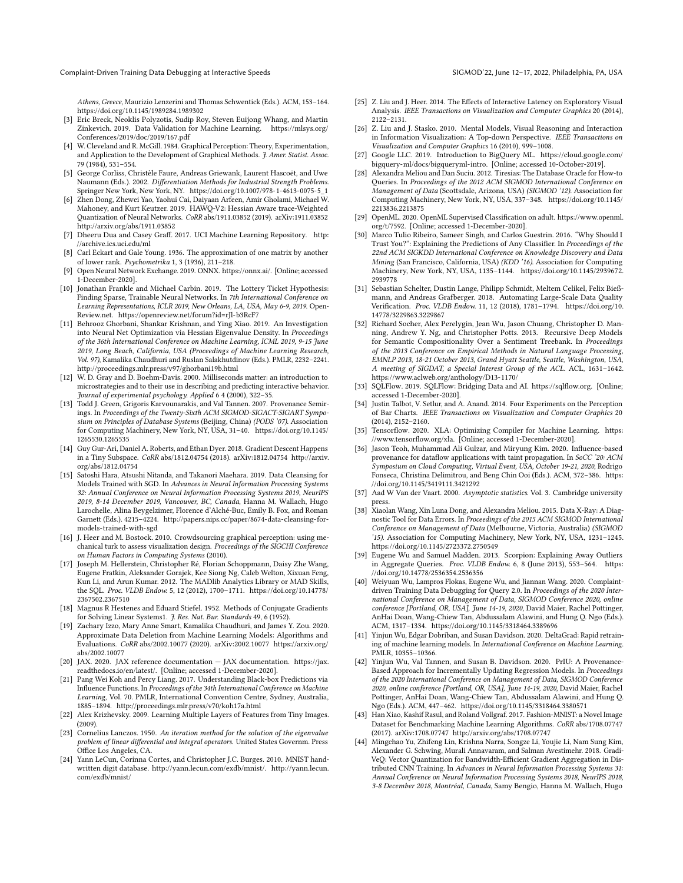Complaint-Driven Training Data Debugging at Interactive Speeds SIGMOD'22, June 12-17, 2022, Philadelphia, PA, USA

Athens, Greece, Maurizio Lenzerini and Thomas Schwentick (Eds.). ACM, 153–164. <https://doi.org/10.1145/1989284.1989302>

- <span id="page-12-9"></span>[3] Eric Breck, Neoklis Polyzotis, Sudip Roy, Steven Euijong Whang, and Martin Zinkevich. 2019. Data Validation for Machine Learning. [https://mlsys.org/](https://mlsys.org/Conferences/2019/doc/2019/167.pdf) [Conferences/2019/doc/2019/167.pdf](https://mlsys.org/Conferences/2019/doc/2019/167.pdf)
- <span id="page-12-32"></span>[4] W. Cleveland and R. McGill. 1984. Graphical Perception: Theory, Experimentation, and Application to the Development of Graphical Methods. J. Amer. Statist. Assoc. 79 (1984), 531–554.
- <span id="page-12-23"></span>[5] George Corliss, Christèle Faure, Andreas Griewank, Laurent Hascoët, and Uwe Naumann (Eds.). 2002. Differentiation Methods for Industrial Strength Problems. Springer New York, New York, NY. [https://doi.org/10.1007/978-1-4613-0075-5\\_1](https://doi.org/10.1007/978-1-4613-0075-5_1)
- <span id="page-12-40"></span>[6] Zhen Dong, Zhewei Yao, Yaohui Cai, Daiyaan Arfeen, Amir Gholami, Michael W. Mahoney, and Kurt Keutzer. 2019. HAWQ-V2: Hessian Aware trace-Weighted Quantization of Neural Networks. CoRR abs/1911.03852 (2019). arXiv[:1911.03852](https://arxiv.org/abs/1911.03852) <http://arxiv.org/abs/1911.03852>
- <span id="page-12-28"></span>[7] Dheeru Dua and Casey Graff. 2017. UCI Machine Learning Repository. [http:](http://archive.ics.uci.edu/ml) [//archive.ics.uci.edu/ml](http://archive.ics.uci.edu/ml)
- <span id="page-12-19"></span>[8] Carl Eckart and Gale Young. 1936. The approximation of one matrix by another of lower rank. Psychometrika 1, 3 (1936), 211–218.
- <span id="page-12-4"></span>[9] Open Neural Network Exchange. 2019. ONNX. [https://onnx.ai/.](https://onnx.ai/) [Online; accessed 1-December-2020].
- <span id="page-12-39"></span>[10] Jonathan Frankle and Michael Carbin. 2019. The Lottery Ticket Hypothesis: Finding Sparse, Trainable Neural Networks. In 7th International Conference on Learning Representations, ICLR 2019, New Orleans, LA, USA, May 6-9, 2019. Open-Review.net.<https://openreview.net/forum?id=rJl-b3RcF7>
- <span id="page-12-21"></span>[11] Behrooz Ghorbani, Shankar Krishnan, and Ying Xiao. 2019. An Investigation into Neural Net Optimization via Hessian Eigenvalue Density. In Proceedings of the 36th International Conference on Machine Learning, ICML 2019, 9-15 June 2019, Long Beach, California, USA (Proceedings of Machine Learning Research, Vol. 97), Kamalika Chaudhuri and Ruslan Salakhutdinov (Eds.). PMLR, 2232–2241. <http://proceedings.mlr.press/v97/ghorbani19b.html>
- <span id="page-12-15"></span>[12] W. D. Gray and D. Boehm-Davis. 2000. Milliseconds matter: an introduction to microstrategies and to their use in describing and predicting interactive behavior. Journal of experimental psychology. Applied 6 4 (2000), 322–35.
- <span id="page-12-13"></span>[13] Todd J. Green, Grigoris Karvounarakis, and Val Tannen. 2007. Provenance Semirings. In Proceedings of the Twenty-Sixth ACM SIGMOD-SIGACT-SIGART Symposium on Principles of Database Systems (Beijing, China) (PODS '07). Association for Computing Machinery, New York, NY, USA, 31–40. [https://doi.org/10.1145/](https://doi.org/10.1145/1265530.1265535) [1265530.1265535](https://doi.org/10.1145/1265530.1265535)
- <span id="page-12-20"></span>[14] Guy Gur-Ari, Daniel A. Roberts, and Ethan Dyer. 2018. Gradient Descent Happens in a Tiny Subspace. CoRR abs/1812.04754 (2018). arXiv[:1812.04754](https://arxiv.org/abs/1812.04754) [http://arxiv.](http://arxiv.org/abs/1812.04754) [org/abs/1812.04754](http://arxiv.org/abs/1812.04754)
- <span id="page-12-35"></span>[15] Satoshi Hara, Atsushi Nitanda, and Takanori Maehara. 2019. Data Cleansing for Models Trained with SGD. In Advances in Neural Information Processing Systems 32: Annual Conference on Neural Information Processing Systems 2019, NeurIPS 2019, 8-14 December 2019, Vancouver, BC, Canada, Hanna M. Wallach, Hugo Larochelle, Alina Beygelzimer, Florence d'Alché-Buc, Emily B. Fox, and Roman Garnett (Eds.). 4215–4224. [http://papers.nips.cc/paper/8674-data-cleansing-for](http://papers.nips.cc/paper/8674-data-cleansing-for-models-trained-with-sgd)[models-trained-with-sgd](http://papers.nips.cc/paper/8674-data-cleansing-for-models-trained-with-sgd)
- <span id="page-12-33"></span>[16] J. Heer and M. Bostock. 2010. Crowdsourcing graphical perception: using mechanical turk to assess visualization design. Proceedings of the SIGCHI Conference on Human Factors in Computing Systems (2010).
- <span id="page-12-1"></span>[17] Joseph M. Hellerstein, Christopher Ré, Florian Schoppmann, Daisy Zhe Wang, Eugene Fratkin, Aleksander Gorajek, Kee Siong Ng, Caleb Welton, Xixuan Feng, Kun Li, and Arun Kumar. 2012. The MADlib Analytics Library or MAD Skills, the SQL. Proc. VLDB Endow. 5, 12 (2012), 1700–1711. [https://doi.org/10.14778/](https://doi.org/10.14778/2367502.2367510) [2367502.2367510](https://doi.org/10.14778/2367502.2367510)
- <span id="page-12-18"></span>[18] Magnus R Hestenes and Eduard Stiefel. 1952. Methods of Conjugate Gradients for Solving Linear Systems1. J. Res. Nat. Bur. Standards 49, 6 (1952).
- <span id="page-12-36"></span>[19] Zachary Izzo, Mary Anne Smart, Kamalika Chaudhuri, and James Y. Zou. 2020. Approximate Data Deletion from Machine Learning Models: Algorithms and Evaluations. CoRR abs/2002.10077 (2020). arXiv[:2002.10077 https://arxiv.org/](https://arxiv.org/abs/2002.10077) [abs/2002.10077](https://arxiv.org/abs/2002.10077)
- <span id="page-12-30"></span>[20] JAX. 2020. JAX reference documentation — JAX documentation. [https://jax.](https://jax.readthedocs.io/en/latest/) [readthedocs.io/en/latest/.](https://jax.readthedocs.io/en/latest/) [Online; accessed 1-December-2020].
- <span id="page-12-11"></span>[21] Pang Wei Koh and Percy Liang. 2017. Understanding Black-box Predictions via Influence Functions. In Proceedings of the 34th International Conference on Machine Learning, Vol. 70. PMLR, International Convention Centre, Sydney, Australia, 1885–1894.<http://proceedings.mlr.press/v70/koh17a.html>
- <span id="page-12-26"></span>[22] Alex Krizhevsky. 2009. Learning Multiple Layers of Features from Tiny Images. (2009).
- <span id="page-12-22"></span>[23] Cornelius Lanczos. 1950. An iteration method for the solution of the eigenvalue problem of linear differential and integral operators. United States Governm. Press Office Los Angeles, CA.
- <span id="page-12-24"></span>[24] Yann LeCun, Corinna Cortes, and Christopher J.C. Burges. 2010. MNIST handwritten digit database. http://yann.lecun.com/exdb/mnist/. [http://yann.lecun.](http://yann.lecun.com/exdb/mnist/) [com/exdb/mnist/](http://yann.lecun.com/exdb/mnist/)
- <span id="page-12-14"></span>[25] Z. Liu and J. Heer. 2014. The Effects of Interactive Latency on Exploratory Visual Analysis. IEEE Transactions on Visualization and Computer Graphics 20 (2014), 2122–2131.
- <span id="page-12-16"></span>[26] Z. Liu and J. Stasko. 2010. Mental Models, Visual Reasoning and Interaction in Information Visualization: A Top-down Perspective. IEEE Transactions on Visualization and Computer Graphics 16 (2010), 999–1008.
- <span id="page-12-2"></span>[27] Google LLC. 2019. Introduction to BigQuery ML. [https://cloud.google.com/](https://cloud.google.com/bigquery-ml/docs/bigqueryml-intro) [bigquery-ml/docs/bigqueryml-intro.](https://cloud.google.com/bigquery-ml/docs/bigqueryml-intro) [Online; accessed 10-October-2019].
- <span id="page-12-5"></span>[28] Alexandra Meliou and Dan Suciu. 2012. Tiresias: The Database Oracle for How-to Queries. In Proceedings of the 2012 ACM SIGMOD International Conference on Management of Data (Scottsdale, Arizona, USA) (SIGMOD '12). Association for Computing Machinery, New York, NY, USA, 337–348. [https://doi.org/10.1145/](https://doi.org/10.1145/2213836.2213875) [2213836.2213875](https://doi.org/10.1145/2213836.2213875)
- <span id="page-12-29"></span>[29] OpenML. 2020. OpenML Supervised Classification on adult. [https://www.openml.](https://www.openml.org/t/7592) [org/t/7592.](https://www.openml.org/t/7592) [Online; accessed 1-December-2020].
- <span id="page-12-12"></span>[30] Marco Tulio Ribeiro, Sameer Singh, and Carlos Guestrin. 2016. "Why Should I Trust You?": Explaining the Predictions of Any Classifier. In Proceedings of the 22nd ACM SIGKDD International Conference on Knowledge Discovery and Data Mining (San Francisco, California, USA) (KDD '16). Association for Computing Machinery, New York, NY, USA, 1135–1144. [https://doi.org/10.1145/2939672.](https://doi.org/10.1145/2939672.2939778) [2939778](https://doi.org/10.1145/2939672.2939778)
- <span id="page-12-10"></span>[31] Sebastian Schelter, Dustin Lange, Philipp Schmidt, Meltem Celikel, Felix Bießmann, and Andreas Grafberger. 2018. Automating Large-Scale Data Quality Verification. Proc. VLDB Endow. 11, 12 (2018), 1781–1794. [https://doi.org/10.](https://doi.org/10.14778/3229863.3229867) [14778/3229863.3229867](https://doi.org/10.14778/3229863.3229867)
- <span id="page-12-27"></span>[32] Richard Socher, Alex Perelygin, Jean Wu, Jason Chuang, Christopher D. Manning, Andrew Y. Ng, and Christopher Potts. 2013. Recursive Deep Models for Semantic Compositionality Over a Sentiment Treebank. In Proceedings of the 2013 Conference on Empirical Methods in Natural Language Processing, EMNLP 2013, 18-21 October 2013, Grand Hyatt Seattle, Seattle, Washington, USA, A meeting of SIGDAT, a Special Interest Group of the ACL. ACL, 1631–1642. <https://www.aclweb.org/anthology/D13-1170/>
- <span id="page-12-3"></span>[33] SQLFlow. 2019. SQLFlow: Bridging Data and AI. [https://sqlflow.org.](https://sqlflow.org) [Online; accessed 1-December-2020].
- <span id="page-12-34"></span>[34] Justin Talbot, V. Setlur, and A. Anand. 2014. Four Experiments on the Perception of Bar Charts. IEEE Transactions on Visualization and Computer Graphics 20 (2014), 2152–2160.
- <span id="page-12-31"></span>[35] Tensorflow. 2020. XLA: Optimizing Compiler for Machine Learning. [https:](https://www.tensorflow.org/xla) [//www.tensorflow.org/xla.](https://www.tensorflow.org/xla) [Online; accessed 1-December-2020].
- <span id="page-12-8"></span>[36] Jason Teoh, Muhammad Ali Gulzar, and Miryung Kim. 2020. Influence-based provenance for dataflow applications with taint propagation. In SoCC  $^{\prime}20:ACM$ Symposium on Cloud Computing, Virtual Event, USA, October 19-21, 2020, Rodrigo Fonseca, Christina Delimitrou, and Beng Chin Ooi (Eds.). ACM, 372–386. [https:](https://doi.org/10.1145/3419111.3421292) [//doi.org/10.1145/3419111.3421292](https://doi.org/10.1145/3419111.3421292)
- <span id="page-12-17"></span>[37] Aad W Van der Vaart. 2000. Asymptotic statistics. Vol. 3. Cambridge university press.
- <span id="page-12-6"></span>[38] Xiaolan Wang, Xin Luna Dong, and Alexandra Meliou. 2015. Data X-Ray: A Diagnostic Tool for Data Errors. In Proceedings of the 2015 ACM SIGMOD International Conference on Management of Data (Melbourne, Victoria, Australia) (SIGMOD '15). Association for Computing Machinery, New York, NY, USA, 1231–1245. <https://doi.org/10.1145/2723372.2750549>
- <span id="page-12-7"></span>[39] Eugene Wu and Samuel Madden. 2013. Scorpion: Explaining Away Outliers in Aggregate Queries. Proc. VLDB Endow. 6, 8 (June 2013), 553–564. [https:](https://doi.org/10.14778/2536354.2536356) [//doi.org/10.14778/2536354.2536356](https://doi.org/10.14778/2536354.2536356)
- <span id="page-12-0"></span>[40] Weiyuan Wu, Lampros Flokas, Eugene Wu, and Jiannan Wang. 2020. Complaintdriven Training Data Debugging for Query 2.0. In Proceedings of the 2020 International Conference on Management of Data, SIGMOD Conference 2020, online conference [Portland, OR, USA], June 14-19, 2020, David Maier, Rachel Pottinger, AnHai Doan, Wang-Chiew Tan, Abdussalam Alawini, and Hung Q. Ngo (Eds.). ACM, 1317–1334.<https://doi.org/10.1145/3318464.3389696>
- <span id="page-12-37"></span>[41] Yinjun Wu, Edgar Dobriban, and Susan Davidson. 2020. DeltaGrad: Rapid retraining of machine learning models. In International Conference on Machine Learning. PMLR, 10355–10366.
- <span id="page-12-38"></span>[42] Yinjun Wu, Val Tannen, and Susan B. Davidson. 2020. PrIU: A Provenance-Based Approach for Incrementally Updating Regression Models. In Proceedings of the 2020 International Conference on Management of Data, SIGMOD Conference 2020, online conference [Portland, OR, USA], June 14-19, 2020, David Maier, Rachel Pottinger, AnHai Doan, Wang-Chiew Tan, Abdussalam Alawini, and Hung Q. Ngo (Eds.). ACM, 447–462.<https://doi.org/10.1145/3318464.3380571>
- <span id="page-12-25"></span>[43] Han Xiao, Kashif Rasul, and Roland Vollgraf. 2017. Fashion-MNIST: a Novel Image Dataset for Benchmarking Machine Learning Algorithms. CoRR abs/1708.07747 (2017). arXiv[:1708.07747](https://arxiv.org/abs/1708.07747)<http://arxiv.org/abs/1708.07747>
- <span id="page-12-41"></span>[44] Mingchao Yu, Zhifeng Lin, Krishna Narra, Songze Li, Youjie Li, Nam Sung Kim, Alexander G. Schwing, Murali Annavaram, and Salman Avestimehr. 2018. Gradi-VeQ: Vector Quantization for Bandwidth-Efficient Gradient Aggregation in Distributed CNN Training. In Advances in Neural Information Processing Systems 31: Annual Conference on Neural Information Processing Systems 2018, NeurIPS 2018, 3-8 December 2018, Montréal, Canada, Samy Bengio, Hanna M. Wallach, Hugo